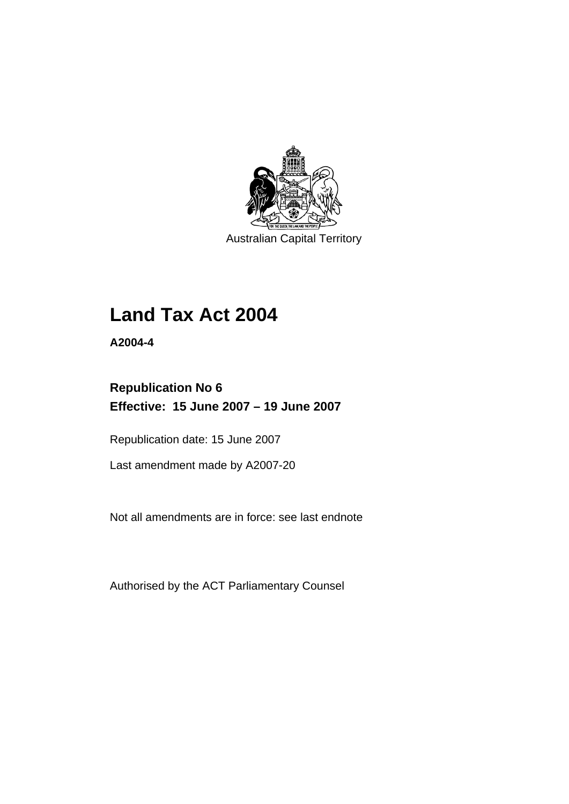

Australian Capital Territory

## **Land Tax Act 2004**

**A2004-4** 

## **Republication No 6 Effective: 15 June 2007 – 19 June 2007**

Republication date: 15 June 2007

Last amendment made by A2007-20

Not all amendments are in force: see last endnote

Authorised by the ACT Parliamentary Counsel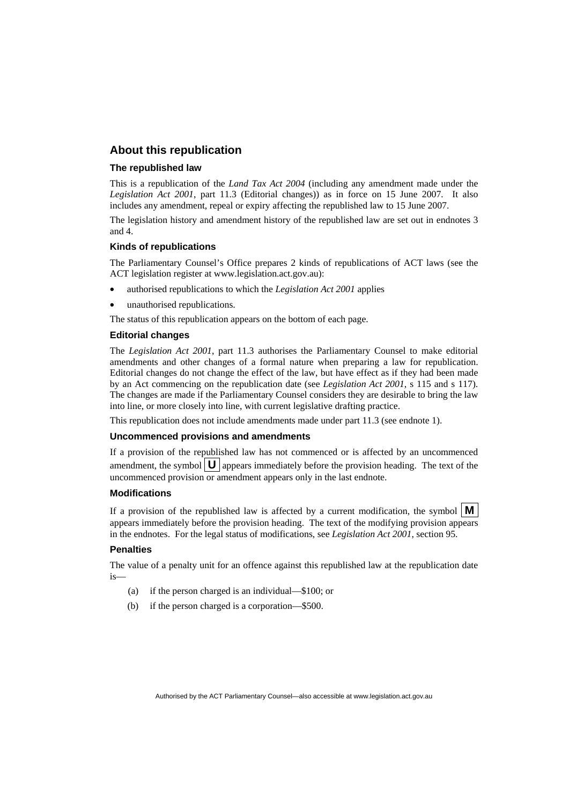### **About this republication**

#### **The republished law**

This is a republication of the *Land Tax Act 2004* (including any amendment made under the *Legislation Act 2001*, part 11.3 (Editorial changes)) as in force on 15 June 2007*.* It also includes any amendment, repeal or expiry affecting the republished law to 15 June 2007.

The legislation history and amendment history of the republished law are set out in endnotes 3 and 4.

#### **Kinds of republications**

The Parliamentary Counsel's Office prepares 2 kinds of republications of ACT laws (see the ACT legislation register at www.legislation.act.gov.au):

- authorised republications to which the *Legislation Act 2001* applies
- unauthorised republications.

The status of this republication appears on the bottom of each page.

#### **Editorial changes**

The *Legislation Act 2001*, part 11.3 authorises the Parliamentary Counsel to make editorial amendments and other changes of a formal nature when preparing a law for republication. Editorial changes do not change the effect of the law, but have effect as if they had been made by an Act commencing on the republication date (see *Legislation Act 2001*, s 115 and s 117). The changes are made if the Parliamentary Counsel considers they are desirable to bring the law into line, or more closely into line, with current legislative drafting practice.

This republication does not include amendments made under part 11.3 (see endnote 1).

#### **Uncommenced provisions and amendments**

If a provision of the republished law has not commenced or is affected by an uncommenced amendment, the symbol  $\mathbf{U}$  appears immediately before the provision heading. The text of the uncommenced provision or amendment appears only in the last endnote.

#### **Modifications**

If a provision of the republished law is affected by a current modification, the symbol  $\mathbf{M}$ appears immediately before the provision heading. The text of the modifying provision appears in the endnotes. For the legal status of modifications, see *Legislation Act 2001*, section 95.

#### **Penalties**

The value of a penalty unit for an offence against this republished law at the republication date is—

- (a) if the person charged is an individual—\$100; or
- (b) if the person charged is a corporation—\$500.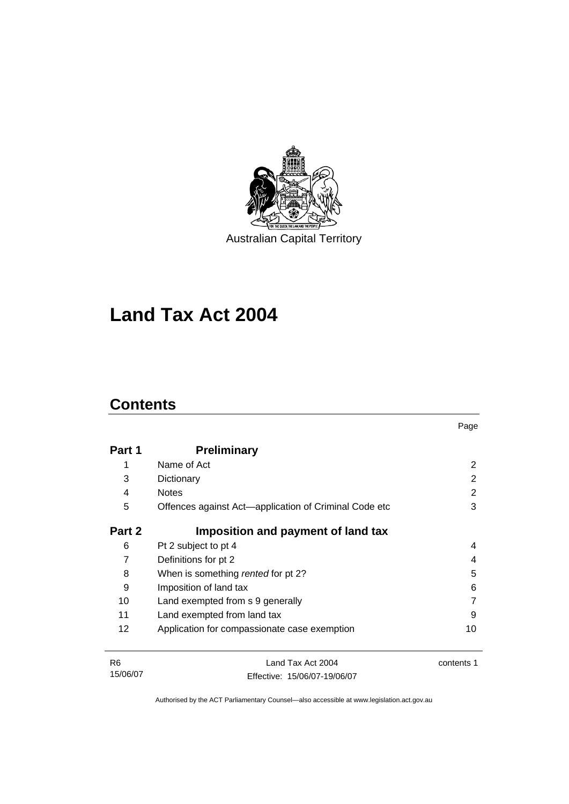

Australian Capital Territory

# **Land Tax Act 2004**

## **Contents**

 $\overline{a}$ 

| Part 1 | <b>Preliminary</b>                                    |    |
|--------|-------------------------------------------------------|----|
| 1      | Name of Act                                           | 2  |
| 3      | Dictionary                                            | 2  |
| 4      | <b>Notes</b>                                          | 2  |
| 5      | Offences against Act—application of Criminal Code etc | 3  |
| Part 2 | Imposition and payment of land tax                    |    |
| 6      | Pt 2 subject to pt 4                                  | 4  |
| 7      | Definitions for pt 2                                  | 4  |
| 8      | When is something rented for pt 2?                    | 5  |
| 9      | Imposition of land tax                                | 6  |
| 10     | Land exempted from s 9 generally                      |    |
| 11     | Land exempted from land tax                           | 9  |
| 12     | Application for compassionate case exemption          | 10 |
|        |                                                       |    |

Page

| R6       | Land Tax Act 2004            | contents 1 |
|----------|------------------------------|------------|
| 15/06/07 | Effective: 15/06/07-19/06/07 |            |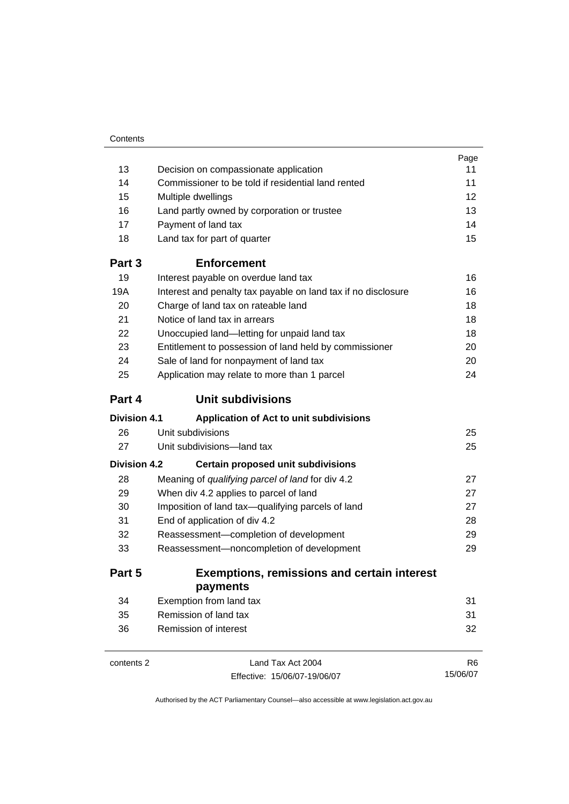|                     |                                                               | Page           |
|---------------------|---------------------------------------------------------------|----------------|
| 13                  | Decision on compassionate application                         | 11             |
| 14                  | Commissioner to be told if residential land rented            | 11             |
| 15                  | Multiple dwellings                                            | 12             |
| 16                  | Land partly owned by corporation or trustee                   | 13             |
| 17                  | Payment of land tax                                           | 14             |
| 18                  | Land tax for part of quarter                                  | 15             |
| Part 3              | <b>Enforcement</b>                                            |                |
| 19                  | Interest payable on overdue land tax                          | 16             |
| 19A                 | Interest and penalty tax payable on land tax if no disclosure | 16             |
| 20                  | Charge of land tax on rateable land                           | 18             |
| 21                  | Notice of land tax in arrears                                 | 18             |
| 22                  | Unoccupied land-letting for unpaid land tax                   | 18             |
| 23                  | Entitlement to possession of land held by commissioner        | 20             |
| 24                  | Sale of land for nonpayment of land tax                       | 20             |
| 25                  | Application may relate to more than 1 parcel                  | 24             |
| Part 4              | <b>Unit subdivisions</b>                                      |                |
| <b>Division 4.1</b> | Application of Act to unit subdivisions                       |                |
| 26                  | Unit subdivisions                                             | 25             |
| 27                  | Unit subdivisions—land tax                                    | 25             |
| <b>Division 4.2</b> | <b>Certain proposed unit subdivisions</b>                     |                |
| 28                  | Meaning of qualifying parcel of land for div 4.2              | 27             |
| 29                  | When div 4.2 applies to parcel of land                        | 27             |
| 30                  | Imposition of land tax-qualifying parcels of land             | 27             |
| 31                  | End of application of div 4.2                                 | 28             |
| 32                  | Reassessment-completion of development                        |                |
| 33                  | Reassessment-noncompletion of development                     | 29             |
| Part 5              | <b>Exemptions, remissions and certain interest</b>            |                |
|                     | payments                                                      |                |
| 34                  | Exemption from land tax                                       | 31             |
| 35                  | Remission of land tax                                         | 31             |
| 36                  | Remission of interest                                         | 32             |
| contents 2          | Land Tax Act 2004                                             | R <sub>6</sub> |

Effective: 15/06/07-19/06/07

15/06/07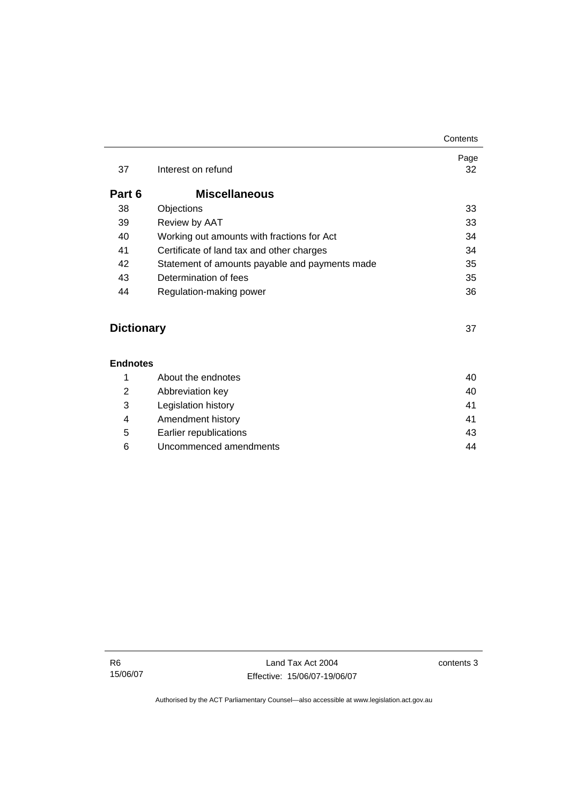| 37                | Interest on refund                             | Page<br>32 |
|-------------------|------------------------------------------------|------------|
| Part 6            | <b>Miscellaneous</b>                           |            |
| 38                | Objections                                     | 33         |
| 39                | Review by AAT                                  | 33         |
| 40                | Working out amounts with fractions for Act     | 34         |
| 41                | Certificate of land tax and other charges      | 34         |
| 42                | Statement of amounts payable and payments made | 35         |
| 43                | Determination of fees                          | 35         |
| 44                | Regulation-making power                        | 36         |
|                   |                                                |            |
| <b>Dictionary</b> |                                                | 37         |

|   | About the endnotes     | 40 |
|---|------------------------|----|
| 2 | Abbreviation key       | 40 |
| 3 | Legislation history    | 41 |
| 4 | Amendment history      | 41 |
| 5 | Earlier republications | 43 |
| 6 | Uncommenced amendments | 44 |

**Contents**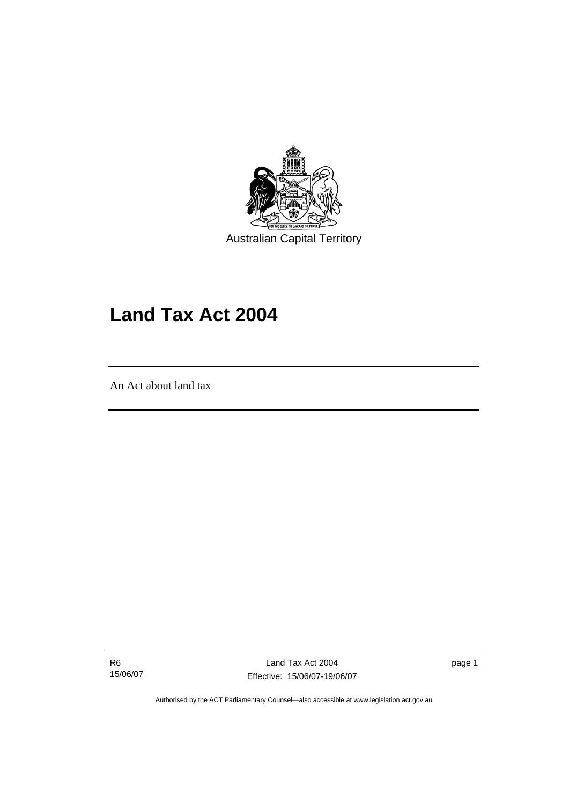

Australian Capital Territory

## **Land Tax Act 2004**

An Act about land tax

l

R6 15/06/07

Land Tax Act 2004 Effective: 15/06/07-19/06/07 page 1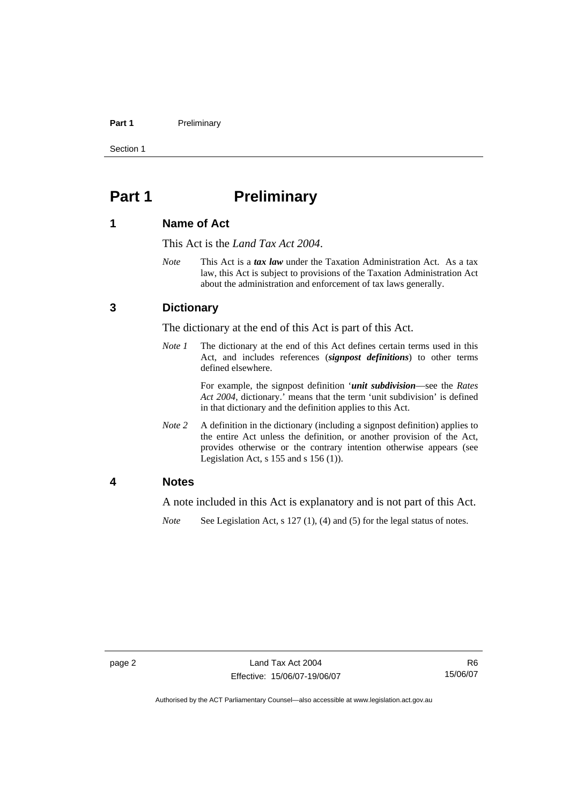#### Part 1 **Preliminary**

Section 1

## **Part 1** Preliminary

### **1 Name of Act**

This Act is the *Land Tax Act 2004*.

*Note* This Act is a *tax law* under the Taxation Administration Act. As a tax law, this Act is subject to provisions of the Taxation Administration Act about the administration and enforcement of tax laws generally.

### **3 Dictionary**

The dictionary at the end of this Act is part of this Act.

*Note 1* The dictionary at the end of this Act defines certain terms used in this Act, and includes references (*signpost definitions*) to other terms defined elsewhere.

> For example, the signpost definition '*unit subdivision*—see the *Rates Act 2004*, dictionary.' means that the term 'unit subdivision' is defined in that dictionary and the definition applies to this Act.

*Note* 2 A definition in the dictionary (including a signpost definition) applies to the entire Act unless the definition, or another provision of the Act, provides otherwise or the contrary intention otherwise appears (see Legislation Act,  $s$  155 and  $s$  156 (1)).

### **4 Notes**

A note included in this Act is explanatory and is not part of this Act.

*Note* See Legislation Act, s 127 (1), (4) and (5) for the legal status of notes.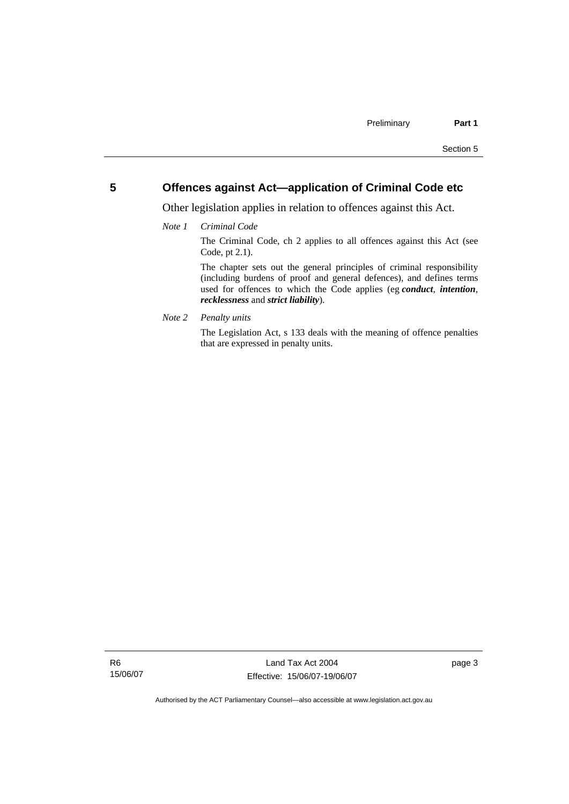### **5 Offences against Act—application of Criminal Code etc**

Other legislation applies in relation to offences against this Act.

*Note 1 Criminal Code*

The Criminal Code, ch 2 applies to all offences against this Act (see Code, pt 2.1).

The chapter sets out the general principles of criminal responsibility (including burdens of proof and general defences), and defines terms used for offences to which the Code applies (eg *conduct*, *intention*, *recklessness* and *strict liability*).

*Note 2 Penalty units* 

The Legislation Act, s 133 deals with the meaning of offence penalties that are expressed in penalty units.

R6 15/06/07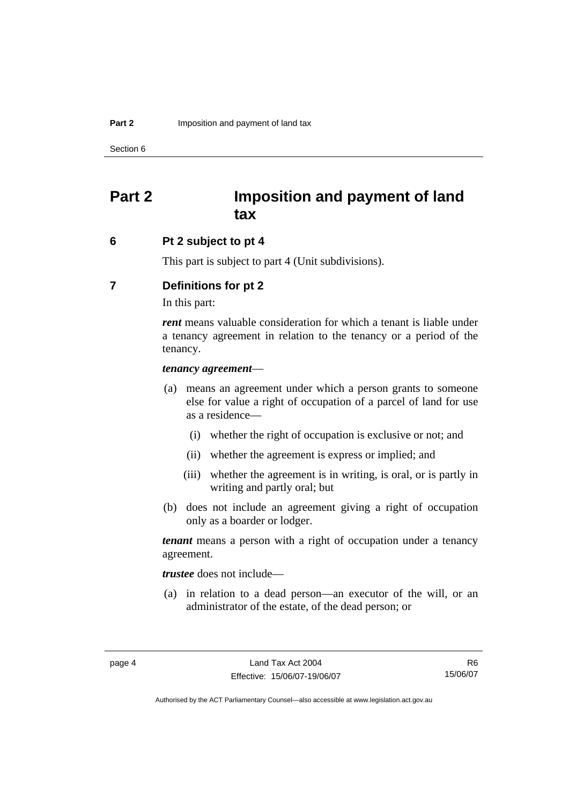Section 6

## **Part 2 Imposition and payment of land tax**

### **6 Pt 2 subject to pt 4**

This part is subject to part 4 (Unit subdivisions).

### **7 Definitions for pt 2**

In this part:

*rent* means valuable consideration for which a tenant is liable under a tenancy agreement in relation to the tenancy or a period of the tenancy.

#### *tenancy agreement*—

- (a) means an agreement under which a person grants to someone else for value a right of occupation of a parcel of land for use as a residence—
	- (i) whether the right of occupation is exclusive or not; and
	- (ii) whether the agreement is express or implied; and
	- (iii) whether the agreement is in writing, is oral, or is partly in writing and partly oral; but
- (b) does not include an agreement giving a right of occupation only as a boarder or lodger.

*tenant* means a person with a right of occupation under a tenancy agreement.

*trustee* does not include—

 (a) in relation to a dead person—an executor of the will, or an administrator of the estate, of the dead person; or

R6 15/06/07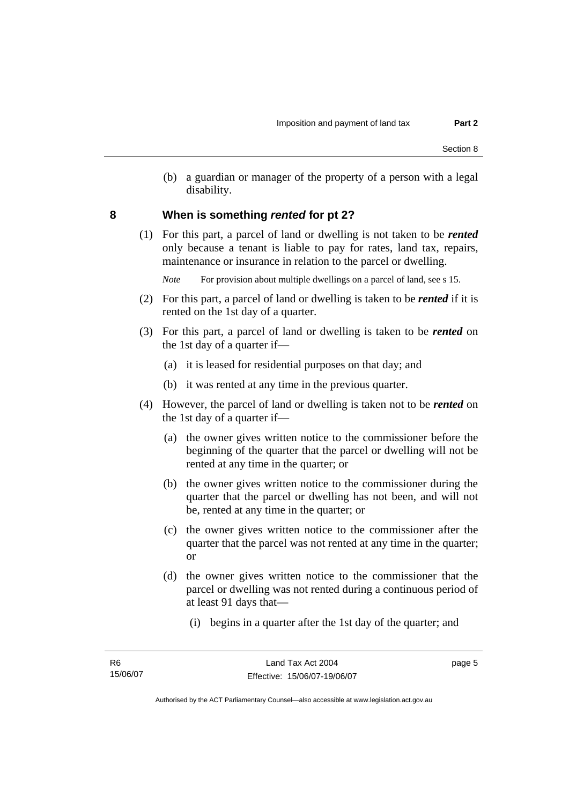(b) a guardian or manager of the property of a person with a legal disability.

### **8 When is something** *rented* **for pt 2?**

 (1) For this part, a parcel of land or dwelling is not taken to be *rented* only because a tenant is liable to pay for rates, land tax, repairs, maintenance or insurance in relation to the parcel or dwelling.

*Note* For provision about multiple dwellings on a parcel of land, see s 15.

- (2) For this part, a parcel of land or dwelling is taken to be *rented* if it is rented on the 1st day of a quarter.
- (3) For this part, a parcel of land or dwelling is taken to be *rented* on the 1st day of a quarter if—
	- (a) it is leased for residential purposes on that day; and
	- (b) it was rented at any time in the previous quarter.
- (4) However, the parcel of land or dwelling is taken not to be *rented* on the 1st day of a quarter if—
	- (a) the owner gives written notice to the commissioner before the beginning of the quarter that the parcel or dwelling will not be rented at any time in the quarter; or
	- (b) the owner gives written notice to the commissioner during the quarter that the parcel or dwelling has not been, and will not be, rented at any time in the quarter; or
	- (c) the owner gives written notice to the commissioner after the quarter that the parcel was not rented at any time in the quarter; or
	- (d) the owner gives written notice to the commissioner that the parcel or dwelling was not rented during a continuous period of at least 91 days that—
		- (i) begins in a quarter after the 1st day of the quarter; and

page 5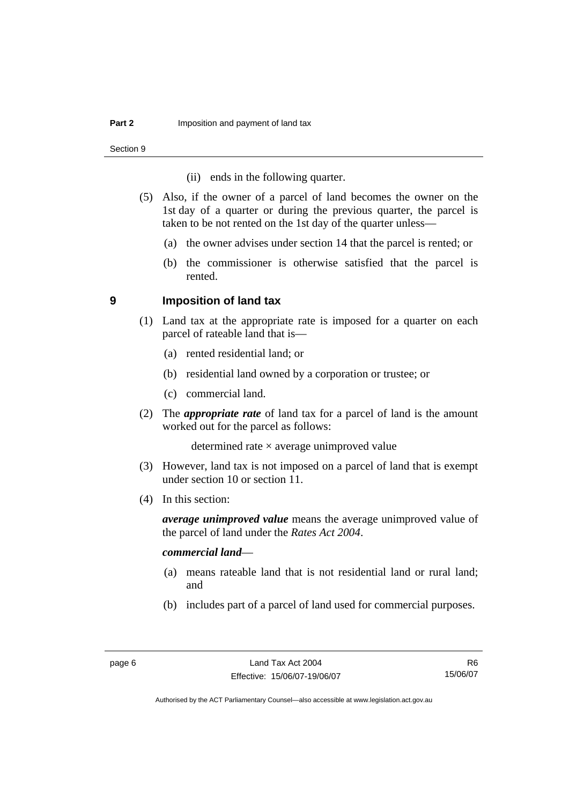Section 9

- (ii) ends in the following quarter.
- (5) Also, if the owner of a parcel of land becomes the owner on the 1st day of a quarter or during the previous quarter, the parcel is taken to be not rented on the 1st day of the quarter unless—
	- (a) the owner advises under section 14 that the parcel is rented; or
	- (b) the commissioner is otherwise satisfied that the parcel is rented.

### **9 Imposition of land tax**

- (1) Land tax at the appropriate rate is imposed for a quarter on each parcel of rateable land that is—
	- (a) rented residential land; or
	- (b) residential land owned by a corporation or trustee; or
	- (c) commercial land.
- (2) The *appropriate rate* of land tax for a parcel of land is the amount worked out for the parcel as follows:

determined rate  $\times$  average unimproved value

- (3) However, land tax is not imposed on a parcel of land that is exempt under section 10 or section 11.
- (4) In this section:

*average unimproved value* means the average unimproved value of the parcel of land under the *Rates Act 2004*.

### *commercial land*—

- (a) means rateable land that is not residential land or rural land; and
- (b) includes part of a parcel of land used for commercial purposes.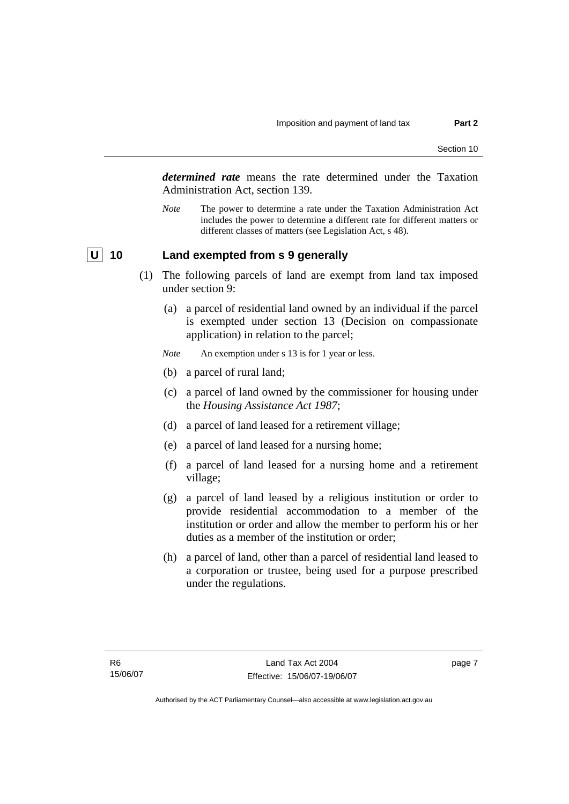*determined rate* means the rate determined under the Taxation Administration Act, section 139.

*Note* The power to determine a rate under the Taxation Administration Act includes the power to determine a different rate for different matters or different classes of matters (see Legislation Act, s 48).

### **U 10 Land exempted from s 9 generally**

- (1) The following parcels of land are exempt from land tax imposed under section 9:
	- (a) a parcel of residential land owned by an individual if the parcel is exempted under section 13 (Decision on compassionate application) in relation to the parcel;
	- *Note* An exemption under s 13 is for 1 year or less.
	- (b) a parcel of rural land;
	- (c) a parcel of land owned by the commissioner for housing under the *Housing Assistance Act 1987*;
	- (d) a parcel of land leased for a retirement village;
	- (e) a parcel of land leased for a nursing home;
	- (f) a parcel of land leased for a nursing home and a retirement village;
	- (g) a parcel of land leased by a religious institution or order to provide residential accommodation to a member of the institution or order and allow the member to perform his or her duties as a member of the institution or order;
	- (h) a parcel of land, other than a parcel of residential land leased to a corporation or trustee, being used for a purpose prescribed under the regulations.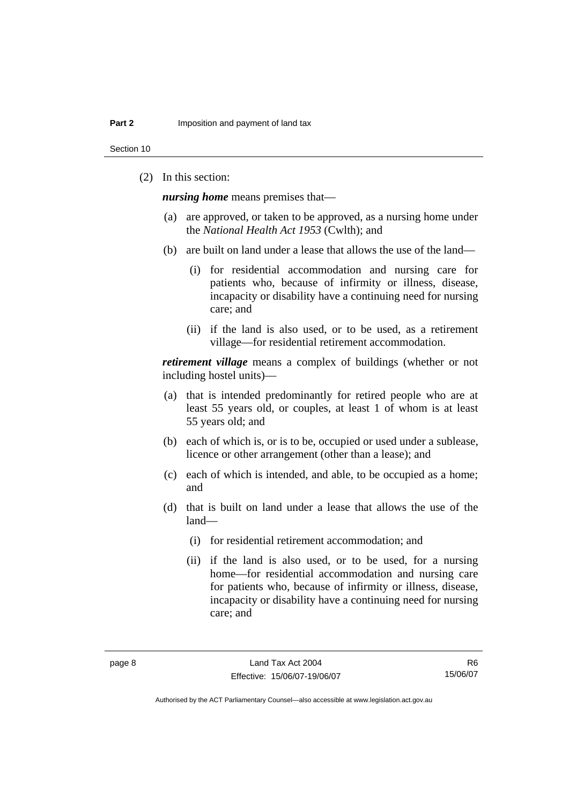Section 10

(2) In this section:

*nursing home* means premises that—

- (a) are approved, or taken to be approved, as a nursing home under the *National Health Act 1953* (Cwlth); and
- (b) are built on land under a lease that allows the use of the land—
	- (i) for residential accommodation and nursing care for patients who, because of infirmity or illness, disease, incapacity or disability have a continuing need for nursing care; and
	- (ii) if the land is also used, or to be used, as a retirement village—for residential retirement accommodation.

*retirement village* means a complex of buildings (whether or not including hostel units)—

- (a) that is intended predominantly for retired people who are at least 55 years old, or couples, at least 1 of whom is at least 55 years old; and
- (b) each of which is, or is to be, occupied or used under a sublease, licence or other arrangement (other than a lease); and
- (c) each of which is intended, and able, to be occupied as a home; and
- (d) that is built on land under a lease that allows the use of the land—
	- (i) for residential retirement accommodation; and
	- (ii) if the land is also used, or to be used, for a nursing home—for residential accommodation and nursing care for patients who, because of infirmity or illness, disease, incapacity or disability have a continuing need for nursing care; and

R6 15/06/07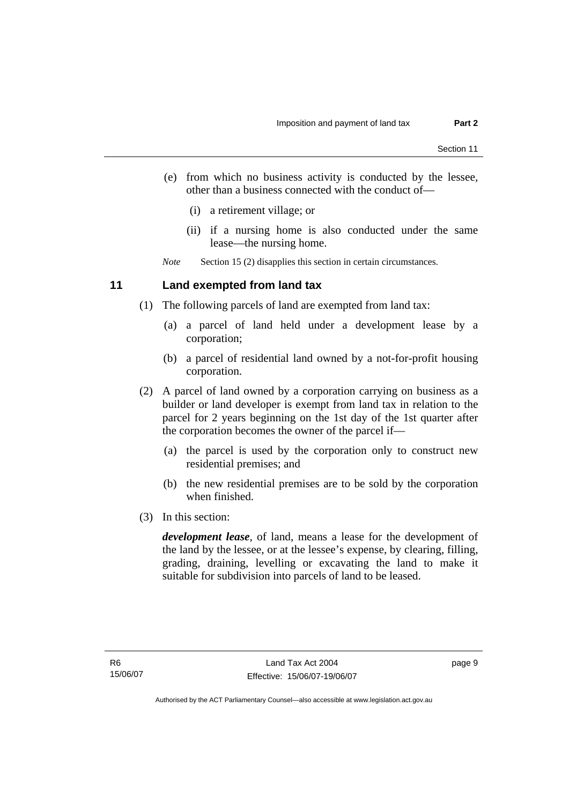- (e) from which no business activity is conducted by the lessee, other than a business connected with the conduct of—
	- (i) a retirement village; or
	- (ii) if a nursing home is also conducted under the same lease—the nursing home.

*Note* Section 15 (2) disapplies this section in certain circumstances.

### **11 Land exempted from land tax**

- (1) The following parcels of land are exempted from land tax:
	- (a) a parcel of land held under a development lease by a corporation;
	- (b) a parcel of residential land owned by a not-for-profit housing corporation.
- (2) A parcel of land owned by a corporation carrying on business as a builder or land developer is exempt from land tax in relation to the parcel for 2 years beginning on the 1st day of the 1st quarter after the corporation becomes the owner of the parcel if—
	- (a) the parcel is used by the corporation only to construct new residential premises; and
	- (b) the new residential premises are to be sold by the corporation when finished.
- (3) In this section:

*development lease*, of land, means a lease for the development of the land by the lessee, or at the lessee's expense, by clearing, filling, grading, draining, levelling or excavating the land to make it suitable for subdivision into parcels of land to be leased.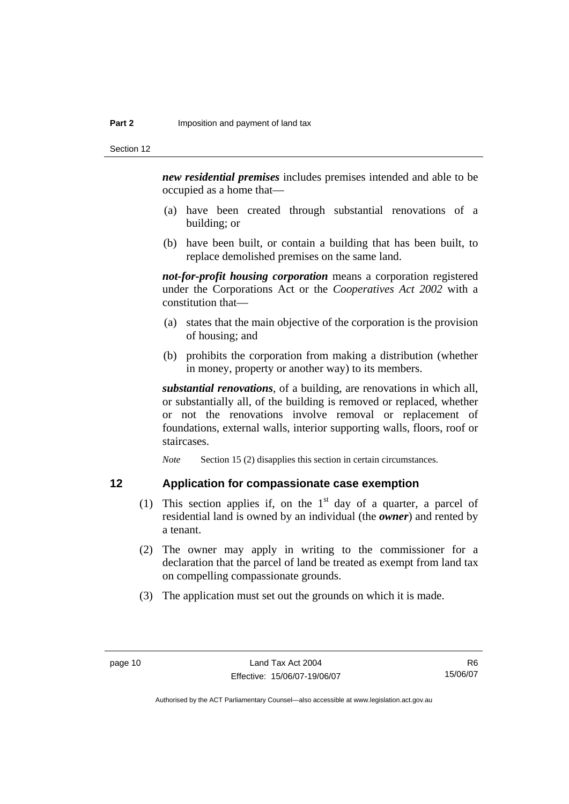*new residential premises* includes premises intended and able to be occupied as a home that—

- (a) have been created through substantial renovations of a building; or
- (b) have been built, or contain a building that has been built, to replace demolished premises on the same land.

*not-for-profit housing corporation* means a corporation registered under the Corporations Act or the *Cooperatives Act 2002* with a constitution that—

- (a) states that the main objective of the corporation is the provision of housing; and
- (b) prohibits the corporation from making a distribution (whether in money, property or another way) to its members.

*substantial renovations*, of a building, are renovations in which all, or substantially all, of the building is removed or replaced, whether or not the renovations involve removal or replacement of foundations, external walls, interior supporting walls, floors, roof or staircases.

*Note* Section 15 (2) disapplies this section in certain circumstances.

### **12 Application for compassionate case exemption**

- (1) This section applies if, on the  $1<sup>st</sup>$  day of a quarter, a parcel of residential land is owned by an individual (the *owner*) and rented by a tenant.
- (2) The owner may apply in writing to the commissioner for a declaration that the parcel of land be treated as exempt from land tax on compelling compassionate grounds.
- (3) The application must set out the grounds on which it is made.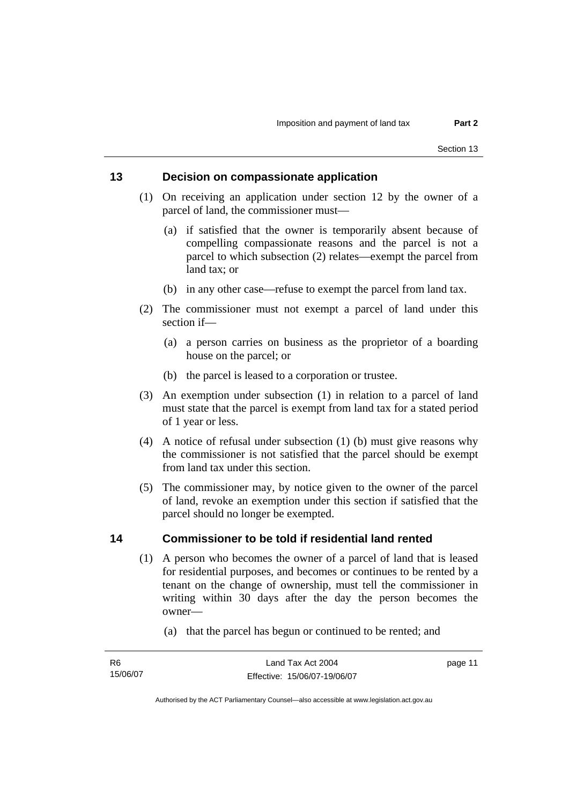### **13 Decision on compassionate application**

- (1) On receiving an application under section 12 by the owner of a parcel of land, the commissioner must—
	- (a) if satisfied that the owner is temporarily absent because of compelling compassionate reasons and the parcel is not a parcel to which subsection (2) relates—exempt the parcel from land tax; or
	- (b) in any other case—refuse to exempt the parcel from land tax.
- (2) The commissioner must not exempt a parcel of land under this section if—
	- (a) a person carries on business as the proprietor of a boarding house on the parcel; or
	- (b) the parcel is leased to a corporation or trustee.
- (3) An exemption under subsection (1) in relation to a parcel of land must state that the parcel is exempt from land tax for a stated period of 1 year or less.
- (4) A notice of refusal under subsection (1) (b) must give reasons why the commissioner is not satisfied that the parcel should be exempt from land tax under this section.
- (5) The commissioner may, by notice given to the owner of the parcel of land, revoke an exemption under this section if satisfied that the parcel should no longer be exempted.

### **14 Commissioner to be told if residential land rented**

- (1) A person who becomes the owner of a parcel of land that is leased for residential purposes, and becomes or continues to be rented by a tenant on the change of ownership, must tell the commissioner in writing within 30 days after the day the person becomes the owner—
	- (a) that the parcel has begun or continued to be rented; and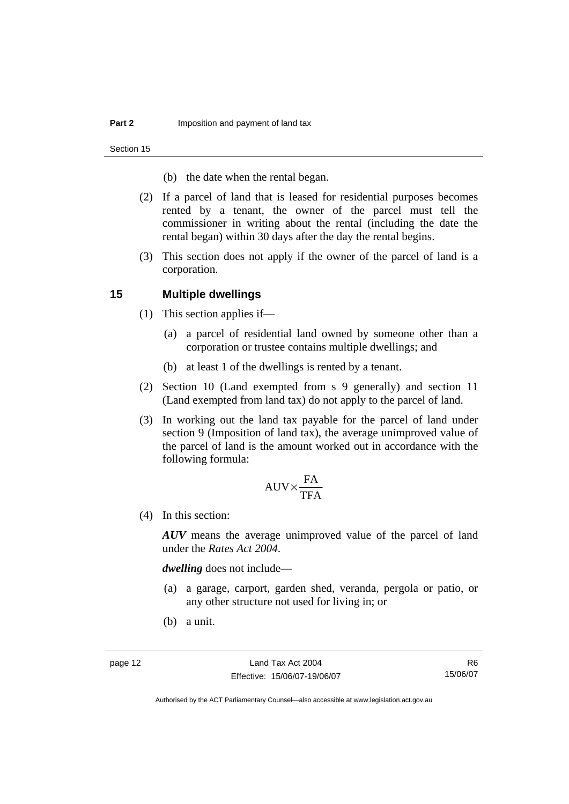Section 15

- (b) the date when the rental began.
- (2) If a parcel of land that is leased for residential purposes becomes rented by a tenant, the owner of the parcel must tell the commissioner in writing about the rental (including the date the rental began) within 30 days after the day the rental begins.
- (3) This section does not apply if the owner of the parcel of land is a corporation.

### **15 Multiple dwellings**

- (1) This section applies if—
	- (a) a parcel of residential land owned by someone other than a corporation or trustee contains multiple dwellings; and
	- (b) at least 1 of the dwellings is rented by a tenant.
- (2) Section 10 (Land exempted from s 9 generally) and section 11 (Land exempted from land tax) do not apply to the parcel of land.
- (3) In working out the land tax payable for the parcel of land under section 9 (Imposition of land tax), the average unimproved value of the parcel of land is the amount worked out in accordance with the following formula:

$$
\text{AUV} {\times} \frac{\text{FA}}{\text{TFA}}
$$

(4) In this section:

*AUV* means the average unimproved value of the parcel of land under the *Rates Act 2004*.

*dwelling* does not include—

- (a) a garage, carport, garden shed, veranda, pergola or patio, or any other structure not used for living in; or
- (b) a unit.

R6 15/06/07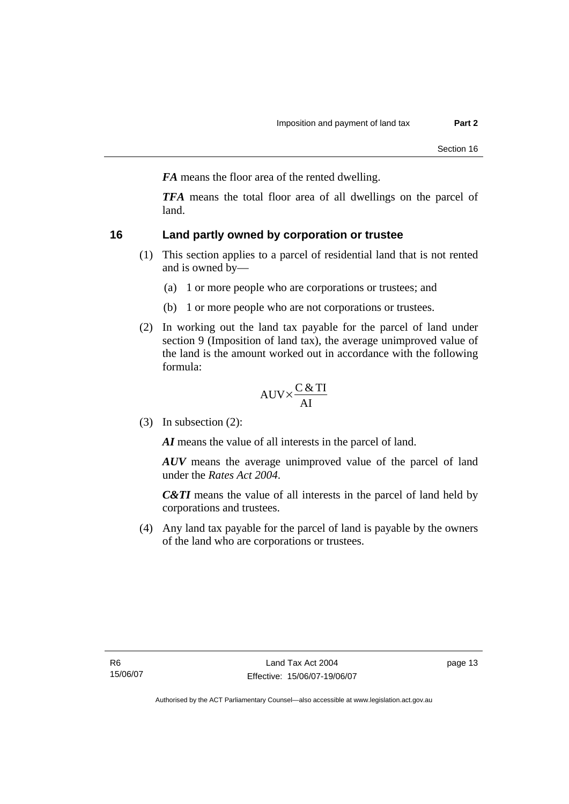*FA* means the floor area of the rented dwelling.

*TFA* means the total floor area of all dwellings on the parcel of land.

### **16 Land partly owned by corporation or trustee**

- (1) This section applies to a parcel of residential land that is not rented and is owned by—
	- (a) 1 or more people who are corporations or trustees; and
	- (b) 1 or more people who are not corporations or trustees.
- (2) In working out the land tax payable for the parcel of land under section 9 (Imposition of land tax), the average unimproved value of the land is the amount worked out in accordance with the following formula:

$$
AUV \times \frac{C & TI}{AI}
$$

(3) In subsection (2):

*AI* means the value of all interests in the parcel of land.

*AUV* means the average unimproved value of the parcel of land under the *Rates Act 2004*.

*C&TI* means the value of all interests in the parcel of land held by corporations and trustees.

 (4) Any land tax payable for the parcel of land is payable by the owners of the land who are corporations or trustees.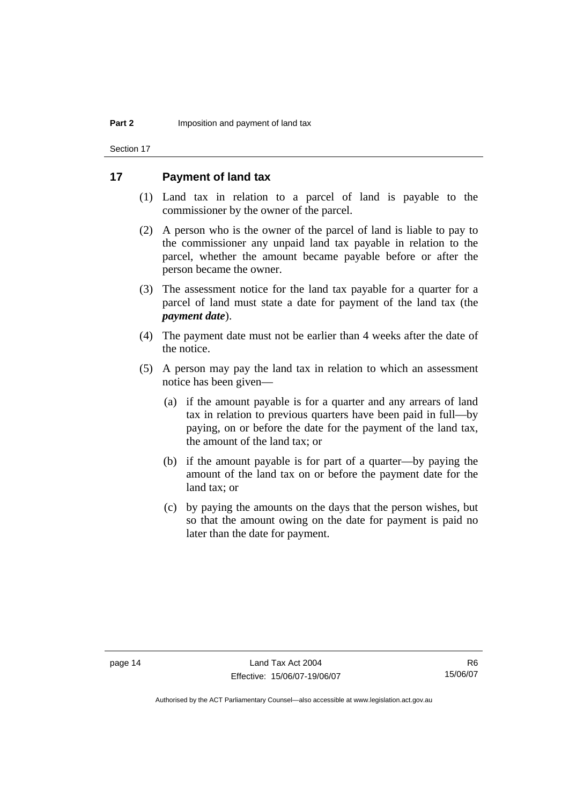Section 17

### **17 Payment of land tax**

- (1) Land tax in relation to a parcel of land is payable to the commissioner by the owner of the parcel.
- (2) A person who is the owner of the parcel of land is liable to pay to the commissioner any unpaid land tax payable in relation to the parcel, whether the amount became payable before or after the person became the owner.
- (3) The assessment notice for the land tax payable for a quarter for a parcel of land must state a date for payment of the land tax (the *payment date*).
- (4) The payment date must not be earlier than 4 weeks after the date of the notice.
- (5) A person may pay the land tax in relation to which an assessment notice has been given—
	- (a) if the amount payable is for a quarter and any arrears of land tax in relation to previous quarters have been paid in full—by paying, on or before the date for the payment of the land tax, the amount of the land tax; or
	- (b) if the amount payable is for part of a quarter—by paying the amount of the land tax on or before the payment date for the land tax; or
	- (c) by paying the amounts on the days that the person wishes, but so that the amount owing on the date for payment is paid no later than the date for payment.

R6 15/06/07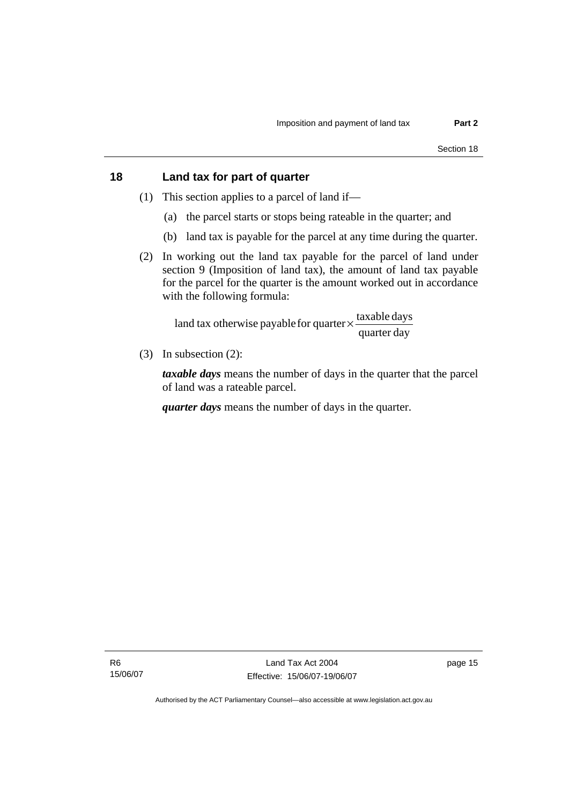### **18 Land tax for part of quarter**

- (1) This section applies to a parcel of land if—
	- (a) the parcel starts or stops being rateable in the quarter; and
	- (b) land tax is payable for the parcel at any time during the quarter.
- (2) In working out the land tax payable for the parcel of land under section 9 (Imposition of land tax), the amount of land tax payable for the parcel for the quarter is the amount worked out in accordance with the following formula:

quarter day land tax otherwise payable for quarter  $\times$   $\frac{\text{taxable days}}{\text{ax}$ 

(3) In subsection (2):

*taxable days* means the number of days in the quarter that the parcel of land was a rateable parcel.

*quarter days* means the number of days in the quarter.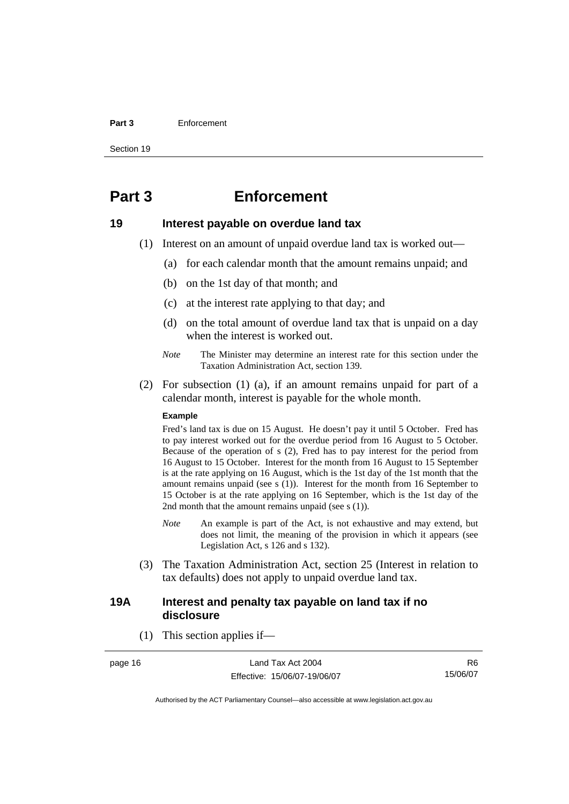#### **Part 3** Enforcement

Section 19

## **Part 3 Enforcement**

### **19 Interest payable on overdue land tax**

- (1) Interest on an amount of unpaid overdue land tax is worked out—
	- (a) for each calendar month that the amount remains unpaid; and
	- (b) on the 1st day of that month; and
	- (c) at the interest rate applying to that day; and
	- (d) on the total amount of overdue land tax that is unpaid on a day when the interest is worked out.
	- *Note* The Minister may determine an interest rate for this section under the Taxation Administration Act, section 139.
- (2) For subsection (1) (a), if an amount remains unpaid for part of a calendar month, interest is payable for the whole month.

#### **Example**

Fred's land tax is due on 15 August. He doesn't pay it until 5 October. Fred has to pay interest worked out for the overdue period from 16 August to 5 October. Because of the operation of s (2), Fred has to pay interest for the period from 16 August to 15 October. Interest for the month from 16 August to 15 September is at the rate applying on 16 August, which is the 1st day of the 1st month that the amount remains unpaid (see s (1)). Interest for the month from 16 September to 15 October is at the rate applying on 16 September, which is the 1st day of the 2nd month that the amount remains unpaid (see s (1)).

- *Note* An example is part of the Act, is not exhaustive and may extend, but does not limit, the meaning of the provision in which it appears (see Legislation Act, s 126 and s 132).
- (3) The Taxation Administration Act, section 25 (Interest in relation to tax defaults) does not apply to unpaid overdue land tax.

### **19A Interest and penalty tax payable on land tax if no disclosure**

(1) This section applies if—

page 16 Land Tax Act 2004 Effective: 15/06/07-19/06/07

R6 15/06/07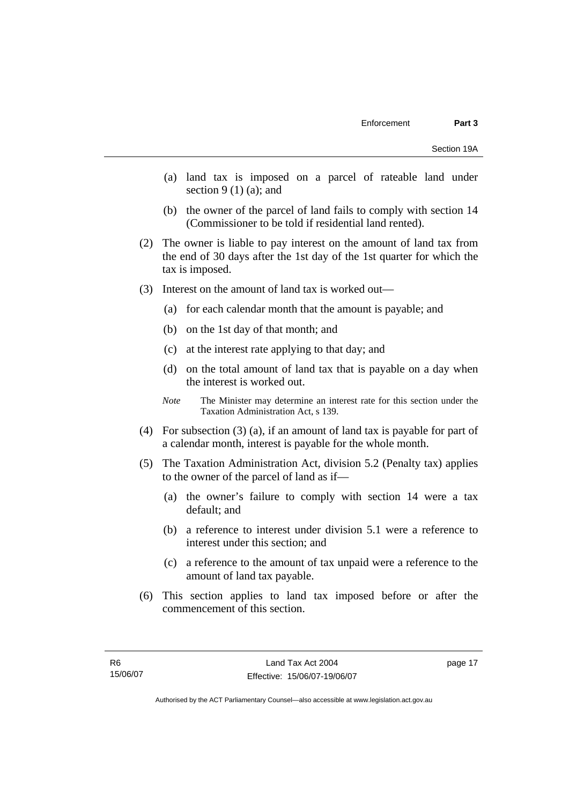- (a) land tax is imposed on a parcel of rateable land under section  $9(1)(a)$ ; and
- (b) the owner of the parcel of land fails to comply with section 14 (Commissioner to be told if residential land rented).
- (2) The owner is liable to pay interest on the amount of land tax from the end of 30 days after the 1st day of the 1st quarter for which the tax is imposed.
- (3) Interest on the amount of land tax is worked out—
	- (a) for each calendar month that the amount is payable; and
	- (b) on the 1st day of that month; and
	- (c) at the interest rate applying to that day; and
	- (d) on the total amount of land tax that is payable on a day when the interest is worked out.
	- *Note* The Minister may determine an interest rate for this section under the Taxation Administration Act, s 139.
- (4) For subsection (3) (a), if an amount of land tax is payable for part of a calendar month, interest is payable for the whole month.
- (5) The Taxation Administration Act, division 5.2 (Penalty tax) applies to the owner of the parcel of land as if—
	- (a) the owner's failure to comply with section 14 were a tax default; and
	- (b) a reference to interest under division 5.1 were a reference to interest under this section; and
	- (c) a reference to the amount of tax unpaid were a reference to the amount of land tax payable.
- (6) This section applies to land tax imposed before or after the commencement of this section.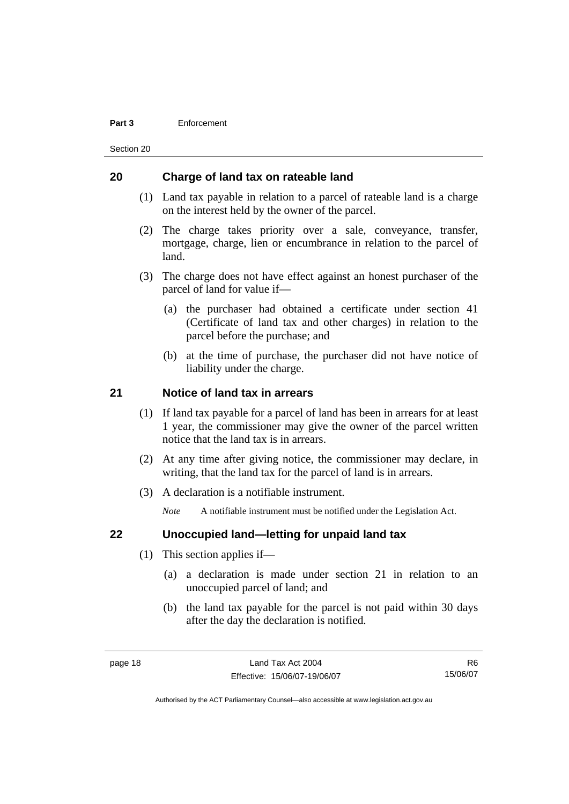#### **Part 3** Enforcement

Section 20

### **20 Charge of land tax on rateable land**

- (1) Land tax payable in relation to a parcel of rateable land is a charge on the interest held by the owner of the parcel.
- (2) The charge takes priority over a sale, conveyance, transfer, mortgage, charge, lien or encumbrance in relation to the parcel of land.
- (3) The charge does not have effect against an honest purchaser of the parcel of land for value if—
	- (a) the purchaser had obtained a certificate under section 41 (Certificate of land tax and other charges) in relation to the parcel before the purchase; and
	- (b) at the time of purchase, the purchaser did not have notice of liability under the charge.

### **21 Notice of land tax in arrears**

- (1) If land tax payable for a parcel of land has been in arrears for at least 1 year, the commissioner may give the owner of the parcel written notice that the land tax is in arrears.
- (2) At any time after giving notice, the commissioner may declare, in writing, that the land tax for the parcel of land is in arrears.
- (3) A declaration is a notifiable instrument.

*Note* A notifiable instrument must be notified under the Legislation Act.

### **22 Unoccupied land—letting for unpaid land tax**

- (1) This section applies if—
	- (a) a declaration is made under section 21 in relation to an unoccupied parcel of land; and
	- (b) the land tax payable for the parcel is not paid within 30 days after the day the declaration is notified.

R6 15/06/07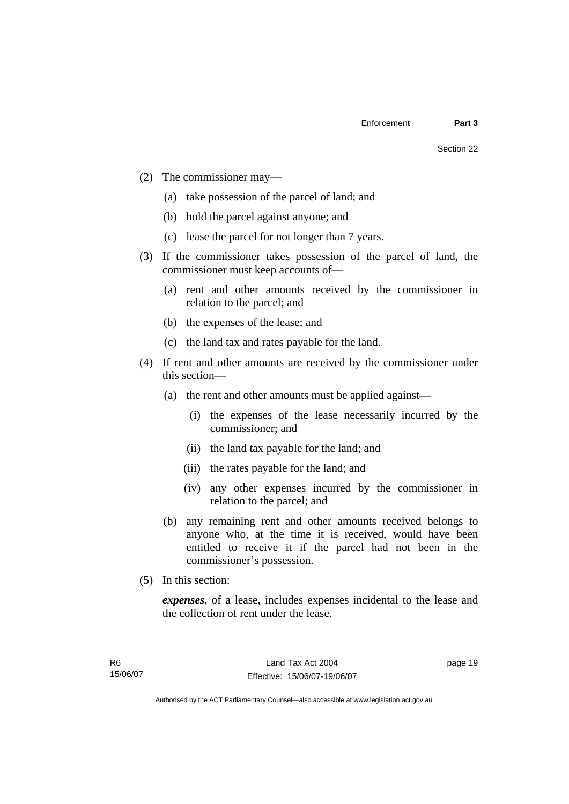- (2) The commissioner may—
	- (a) take possession of the parcel of land; and
	- (b) hold the parcel against anyone; and
	- (c) lease the parcel for not longer than 7 years.
- (3) If the commissioner takes possession of the parcel of land, the commissioner must keep accounts of—
	- (a) rent and other amounts received by the commissioner in relation to the parcel; and
	- (b) the expenses of the lease; and
	- (c) the land tax and rates payable for the land.
- (4) If rent and other amounts are received by the commissioner under this section—
	- (a) the rent and other amounts must be applied against—
		- (i) the expenses of the lease necessarily incurred by the commissioner; and
		- (ii) the land tax payable for the land; and
		- (iii) the rates payable for the land; and
		- (iv) any other expenses incurred by the commissioner in relation to the parcel; and
	- (b) any remaining rent and other amounts received belongs to anyone who, at the time it is received, would have been entitled to receive it if the parcel had not been in the commissioner's possession.
- (5) In this section:

*expenses*, of a lease, includes expenses incidental to the lease and the collection of rent under the lease.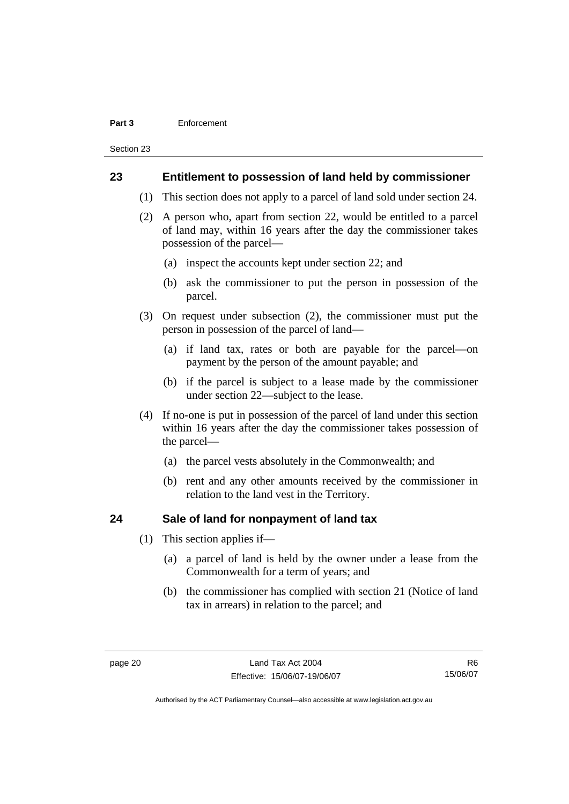#### **Part 3** Enforcement

Section 23

### **23 Entitlement to possession of land held by commissioner**

- (1) This section does not apply to a parcel of land sold under section 24.
- (2) A person who, apart from section 22, would be entitled to a parcel of land may, within 16 years after the day the commissioner takes possession of the parcel—
	- (a) inspect the accounts kept under section 22; and
	- (b) ask the commissioner to put the person in possession of the parcel.
- (3) On request under subsection (2), the commissioner must put the person in possession of the parcel of land—
	- (a) if land tax, rates or both are payable for the parcel—on payment by the person of the amount payable; and
	- (b) if the parcel is subject to a lease made by the commissioner under section 22—subject to the lease.
- (4) If no-one is put in possession of the parcel of land under this section within 16 years after the day the commissioner takes possession of the parcel—
	- (a) the parcel vests absolutely in the Commonwealth; and
	- (b) rent and any other amounts received by the commissioner in relation to the land vest in the Territory.

### **24 Sale of land for nonpayment of land tax**

- (1) This section applies if—
	- (a) a parcel of land is held by the owner under a lease from the Commonwealth for a term of years; and
	- (b) the commissioner has complied with section 21 (Notice of land tax in arrears) in relation to the parcel; and

R6 15/06/07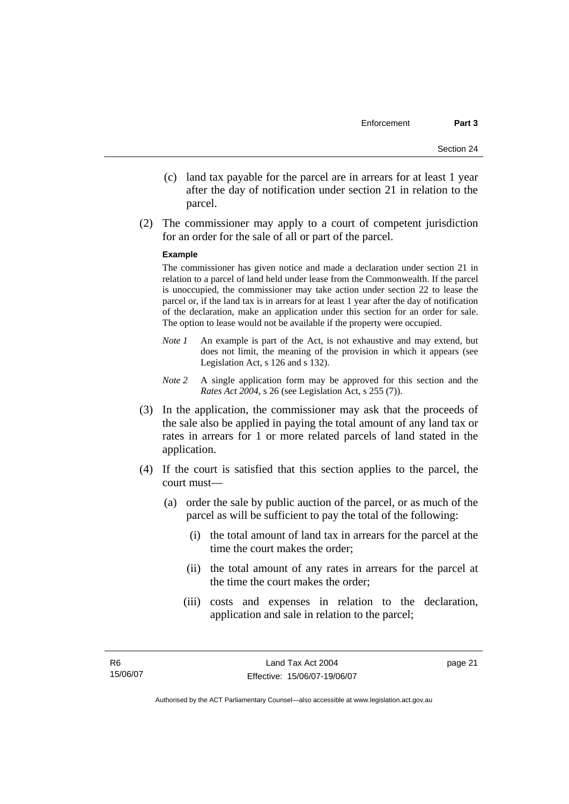- (c) land tax payable for the parcel are in arrears for at least 1 year after the day of notification under section 21 in relation to the parcel.
- (2) The commissioner may apply to a court of competent jurisdiction for an order for the sale of all or part of the parcel.

#### **Example**

The commissioner has given notice and made a declaration under section 21 in relation to a parcel of land held under lease from the Commonwealth. If the parcel is unoccupied, the commissioner may take action under section 22 to lease the parcel or, if the land tax is in arrears for at least 1 year after the day of notification of the declaration, make an application under this section for an order for sale. The option to lease would not be available if the property were occupied.

- *Note 1* An example is part of the Act, is not exhaustive and may extend, but does not limit, the meaning of the provision in which it appears (see Legislation Act, s 126 and s 132).
- *Note* 2 A single application form may be approved for this section and the *Rates Act 2004*, s 26 (see Legislation Act, s 255 (7)).
- (3) In the application, the commissioner may ask that the proceeds of the sale also be applied in paying the total amount of any land tax or rates in arrears for 1 or more related parcels of land stated in the application.
- (4) If the court is satisfied that this section applies to the parcel, the court must—
	- (a) order the sale by public auction of the parcel, or as much of the parcel as will be sufficient to pay the total of the following:
		- (i) the total amount of land tax in arrears for the parcel at the time the court makes the order;
		- (ii) the total amount of any rates in arrears for the parcel at the time the court makes the order;
		- (iii) costs and expenses in relation to the declaration, application and sale in relation to the parcel;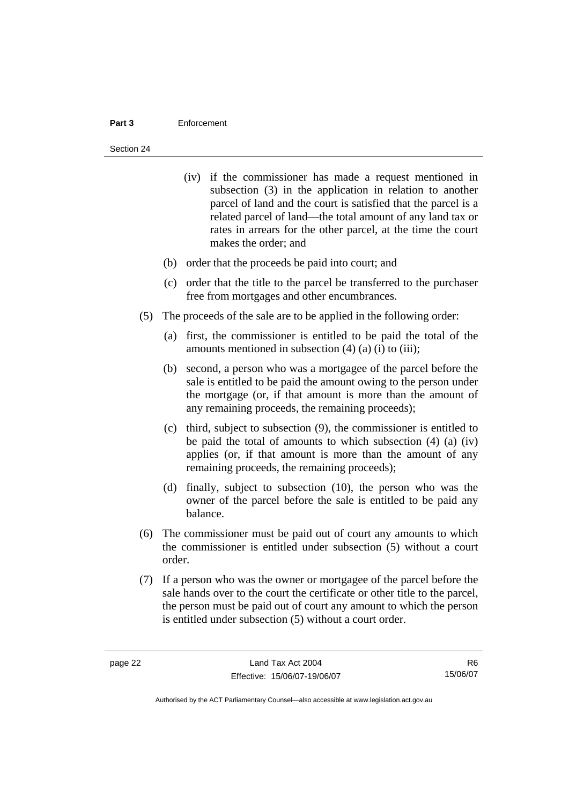#### **Part 3** Enforcement

#### Section 24

- (iv) if the commissioner has made a request mentioned in subsection (3) in the application in relation to another parcel of land and the court is satisfied that the parcel is a related parcel of land—the total amount of any land tax or rates in arrears for the other parcel, at the time the court makes the order; and
- (b) order that the proceeds be paid into court; and
- (c) order that the title to the parcel be transferred to the purchaser free from mortgages and other encumbrances.
- (5) The proceeds of the sale are to be applied in the following order:
	- (a) first, the commissioner is entitled to be paid the total of the amounts mentioned in subsection  $(4)$   $(a)$   $(i)$  to  $(iii)$ ;
	- (b) second, a person who was a mortgagee of the parcel before the sale is entitled to be paid the amount owing to the person under the mortgage (or, if that amount is more than the amount of any remaining proceeds, the remaining proceeds);
	- (c) third, subject to subsection (9), the commissioner is entitled to be paid the total of amounts to which subsection (4) (a) (iv) applies (or, if that amount is more than the amount of any remaining proceeds, the remaining proceeds);
	- (d) finally, subject to subsection (10), the person who was the owner of the parcel before the sale is entitled to be paid any balance.
- (6) The commissioner must be paid out of court any amounts to which the commissioner is entitled under subsection (5) without a court order.
- (7) If a person who was the owner or mortgagee of the parcel before the sale hands over to the court the certificate or other title to the parcel, the person must be paid out of court any amount to which the person is entitled under subsection (5) without a court order.

R6 15/06/07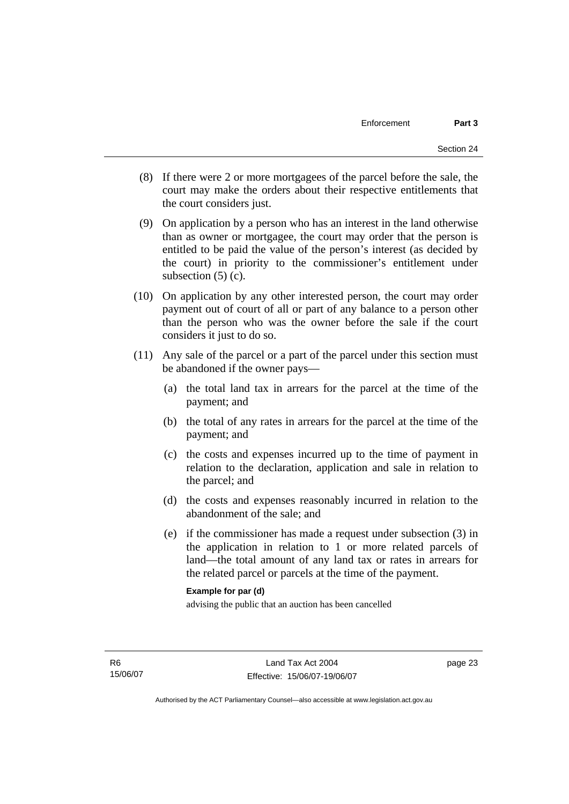- (8) If there were 2 or more mortgagees of the parcel before the sale, the court may make the orders about their respective entitlements that the court considers just.
- (9) On application by a person who has an interest in the land otherwise than as owner or mortgagee, the court may order that the person is entitled to be paid the value of the person's interest (as decided by the court) in priority to the commissioner's entitlement under subsection  $(5)$  (c).
- (10) On application by any other interested person, the court may order payment out of court of all or part of any balance to a person other than the person who was the owner before the sale if the court considers it just to do so.
- (11) Any sale of the parcel or a part of the parcel under this section must be abandoned if the owner pays—
	- (a) the total land tax in arrears for the parcel at the time of the payment; and
	- (b) the total of any rates in arrears for the parcel at the time of the payment; and
	- (c) the costs and expenses incurred up to the time of payment in relation to the declaration, application and sale in relation to the parcel; and
	- (d) the costs and expenses reasonably incurred in relation to the abandonment of the sale; and
	- (e) if the commissioner has made a request under subsection (3) in the application in relation to 1 or more related parcels of land—the total amount of any land tax or rates in arrears for the related parcel or parcels at the time of the payment.

### **Example for par (d)**

advising the public that an auction has been cancelled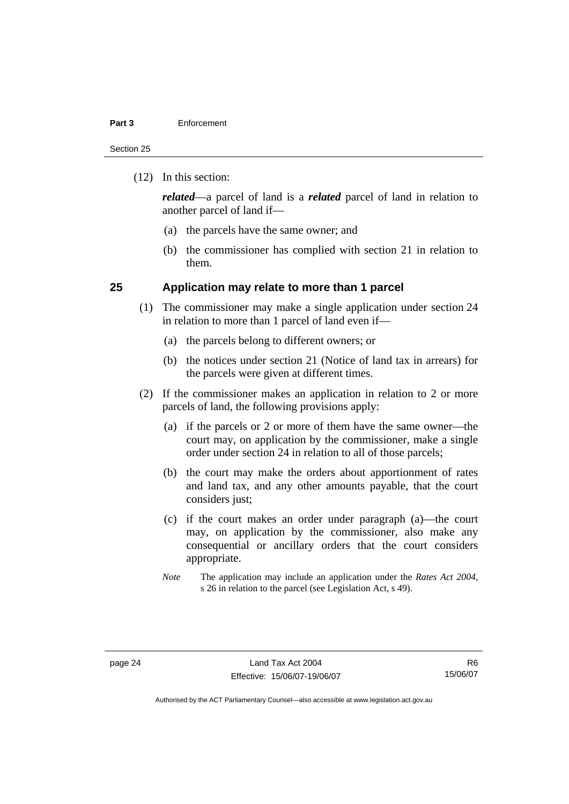#### **Part 3** Enforcement

Section 25

(12) In this section:

*related*—a parcel of land is a *related* parcel of land in relation to another parcel of land if—

- (a) the parcels have the same owner; and
- (b) the commissioner has complied with section 21 in relation to them.

### **25 Application may relate to more than 1 parcel**

- (1) The commissioner may make a single application under section 24 in relation to more than 1 parcel of land even if—
	- (a) the parcels belong to different owners; or
	- (b) the notices under section 21 (Notice of land tax in arrears) for the parcels were given at different times.
- (2) If the commissioner makes an application in relation to 2 or more parcels of land, the following provisions apply:
	- (a) if the parcels or 2 or more of them have the same owner—the court may, on application by the commissioner, make a single order under section 24 in relation to all of those parcels;
	- (b) the court may make the orders about apportionment of rates and land tax, and any other amounts payable, that the court considers just:
	- (c) if the court makes an order under paragraph (a)—the court may, on application by the commissioner, also make any consequential or ancillary orders that the court considers appropriate.
	- *Note* The application may include an application under the *Rates Act 2004*, s 26 in relation to the parcel (see Legislation Act, s 49).

R6 15/06/07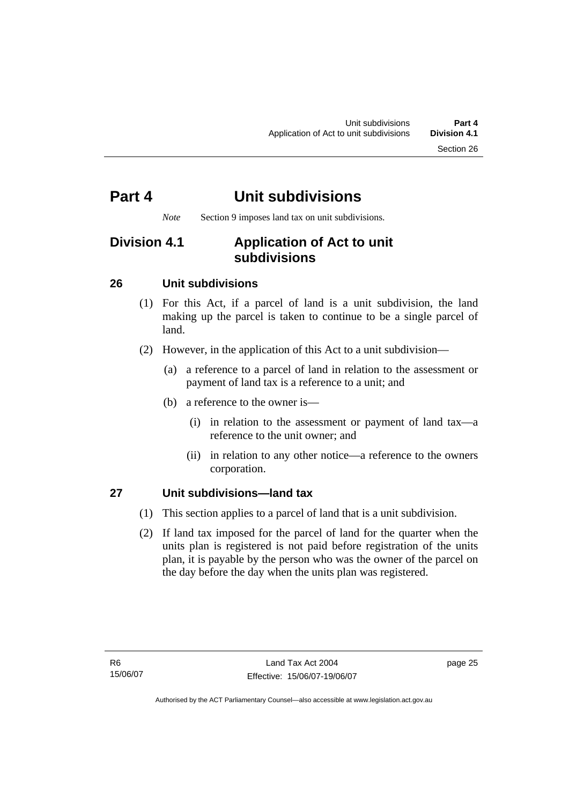*Note* Section 9 imposes land tax on unit subdivisions.

## **Division 4.1 Application of Act to unit subdivisions**

### **26 Unit subdivisions**

- (1) For this Act, if a parcel of land is a unit subdivision, the land making up the parcel is taken to continue to be a single parcel of land.
- (2) However, in the application of this Act to a unit subdivision—
	- (a) a reference to a parcel of land in relation to the assessment or payment of land tax is a reference to a unit; and
	- (b) a reference to the owner is—
		- (i) in relation to the assessment or payment of land tax—a reference to the unit owner; and
		- (ii) in relation to any other notice—a reference to the owners corporation.

### **27 Unit subdivisions—land tax**

- (1) This section applies to a parcel of land that is a unit subdivision.
- (2) If land tax imposed for the parcel of land for the quarter when the units plan is registered is not paid before registration of the units plan, it is payable by the person who was the owner of the parcel on the day before the day when the units plan was registered.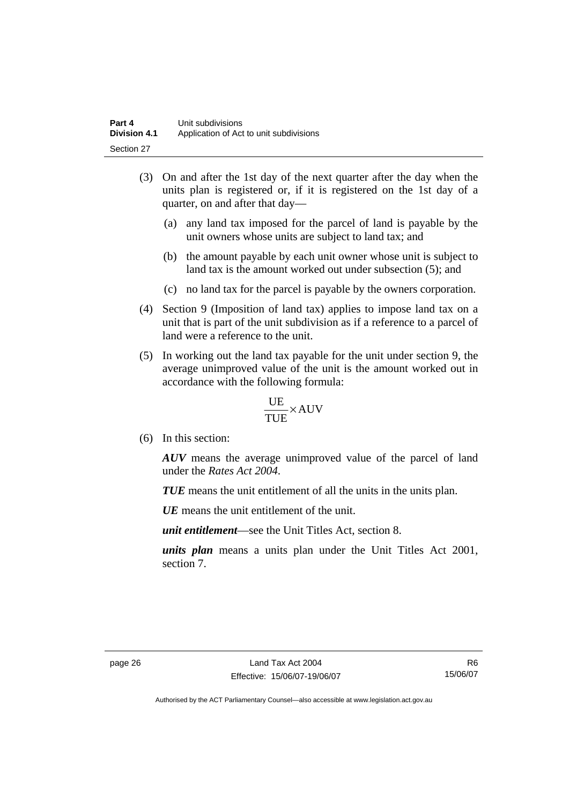- (3) On and after the 1st day of the next quarter after the day when the units plan is registered or, if it is registered on the 1st day of a quarter, on and after that day—
	- (a) any land tax imposed for the parcel of land is payable by the unit owners whose units are subject to land tax; and
	- (b) the amount payable by each unit owner whose unit is subject to land tax is the amount worked out under subsection (5); and
	- (c) no land tax for the parcel is payable by the owners corporation.
- (4) Section 9 (Imposition of land tax) applies to impose land tax on a unit that is part of the unit subdivision as if a reference to a parcel of land were a reference to the unit.
- (5) In working out the land tax payable for the unit under section 9, the average unimproved value of the unit is the amount worked out in accordance with the following formula:

$$
\frac{UE}{TUE}\times \text{AUV}
$$

(6) In this section:

*AUV* means the average unimproved value of the parcel of land under the *Rates Act 2004*.

*TUE* means the unit entitlement of all the units in the units plan.

*UE*means the unit entitlement of the unit.

*unit entitlement*—see the Unit Titles Act, section 8.

*units plan* means a units plan under the Unit Titles Act 2001, section 7.

R6 15/06/07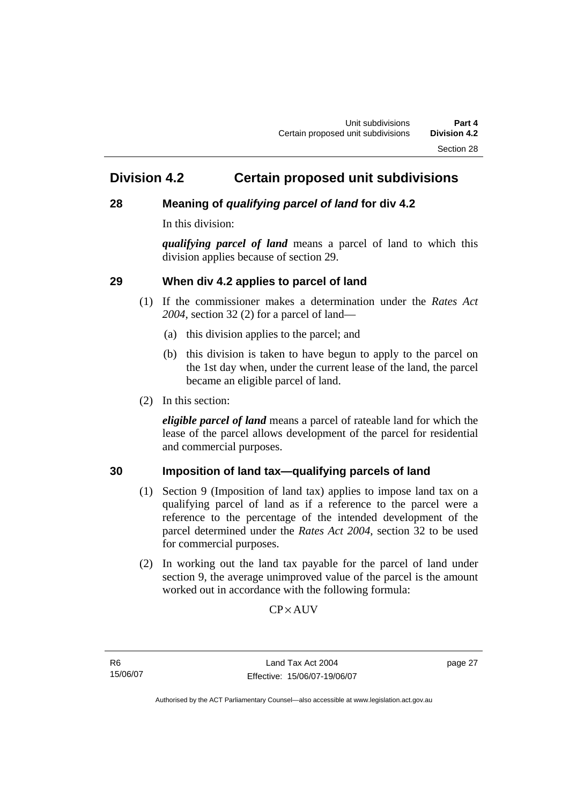## **Division 4.2 Certain proposed unit subdivisions**

### **28 Meaning of** *qualifying parcel of land* **for div 4.2**

In this division:

*qualifying parcel of land* means a parcel of land to which this division applies because of section 29.

### **29 When div 4.2 applies to parcel of land**

- (1) If the commissioner makes a determination under the *Rates Act 2004*, section 32 (2) for a parcel of land—
	- (a) this division applies to the parcel; and
	- (b) this division is taken to have begun to apply to the parcel on the 1st day when, under the current lease of the land, the parcel became an eligible parcel of land.
- (2) In this section:

*eligible parcel of land* means a parcel of rateable land for which the lease of the parcel allows development of the parcel for residential and commercial purposes.

### **30 Imposition of land tax—qualifying parcels of land**

- (1) Section 9 (Imposition of land tax) applies to impose land tax on a qualifying parcel of land as if a reference to the parcel were a reference to the percentage of the intended development of the parcel determined under the *Rates Act 2004*, section 32 to be used for commercial purposes.
- (2) In working out the land tax payable for the parcel of land under section 9, the average unimproved value of the parcel is the amount worked out in accordance with the following formula:

**CP**×AUV

R6 15/06/07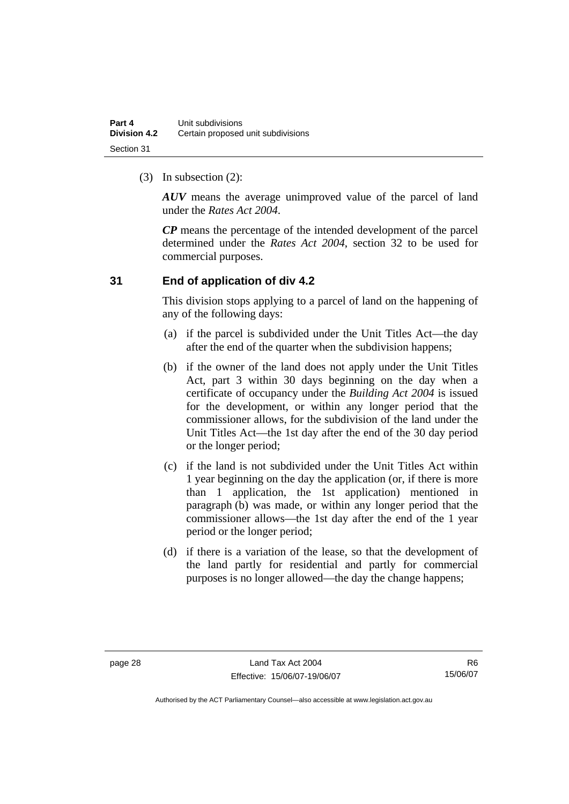(3) In subsection (2):

*AUV* means the average unimproved value of the parcel of land under the *Rates Act 2004*.

*CP* means the percentage of the intended development of the parcel determined under the *Rates Act 2004*, section 32 to be used for commercial purposes.

### **31 End of application of div 4.2**

This division stops applying to a parcel of land on the happening of any of the following days:

- (a) if the parcel is subdivided under the Unit Titles Act—the day after the end of the quarter when the subdivision happens;
- (b) if the owner of the land does not apply under the Unit Titles Act, part 3 within 30 days beginning on the day when a certificate of occupancy under the *Building Act 2004* is issued for the development, or within any longer period that the commissioner allows, for the subdivision of the land under the Unit Titles Act—the 1st day after the end of the 30 day period or the longer period;
- (c) if the land is not subdivided under the Unit Titles Act within 1 year beginning on the day the application (or, if there is more than 1 application, the 1st application) mentioned in paragraph (b) was made, or within any longer period that the commissioner allows—the 1st day after the end of the 1 year period or the longer period;
- (d) if there is a variation of the lease, so that the development of the land partly for residential and partly for commercial purposes is no longer allowed—the day the change happens;

R6 15/06/07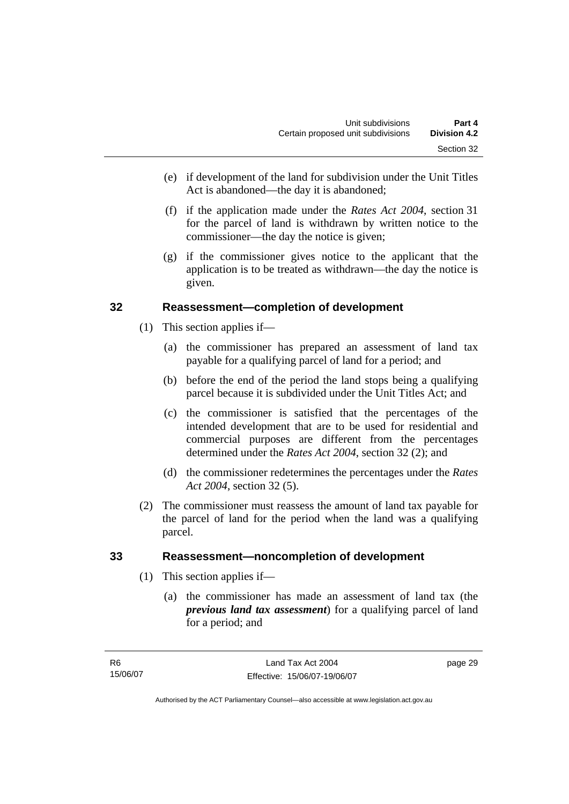- (e) if development of the land for subdivision under the Unit Titles Act is abandoned—the day it is abandoned;
- (f) if the application made under the *Rates Act 2004*, section 31 for the parcel of land is withdrawn by written notice to the commissioner—the day the notice is given;
- (g) if the commissioner gives notice to the applicant that the application is to be treated as withdrawn—the day the notice is given.

### **32 Reassessment—completion of development**

- (1) This section applies if—
	- (a) the commissioner has prepared an assessment of land tax payable for a qualifying parcel of land for a period; and
	- (b) before the end of the period the land stops being a qualifying parcel because it is subdivided under the Unit Titles Act; and
	- (c) the commissioner is satisfied that the percentages of the intended development that are to be used for residential and commercial purposes are different from the percentages determined under the *Rates Act 2004*, section 32 (2); and
	- (d) the commissioner redetermines the percentages under the *Rates Act 2004*, section 32 (5).
- (2) The commissioner must reassess the amount of land tax payable for the parcel of land for the period when the land was a qualifying parcel.

### **33 Reassessment—noncompletion of development**

- (1) This section applies if—
	- (a) the commissioner has made an assessment of land tax (the *previous land tax assessment*) for a qualifying parcel of land for a period; and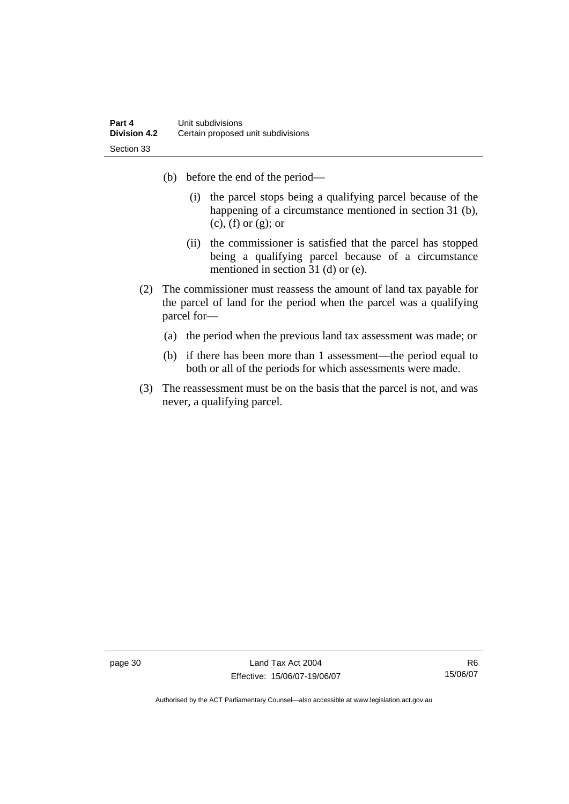- (b) before the end of the period—
	- (i) the parcel stops being a qualifying parcel because of the happening of a circumstance mentioned in section 31 (b), (c), (f) or (g); or
	- (ii) the commissioner is satisfied that the parcel has stopped being a qualifying parcel because of a circumstance mentioned in section 31 (d) or (e).
- (2) The commissioner must reassess the amount of land tax payable for the parcel of land for the period when the parcel was a qualifying parcel for—
	- (a) the period when the previous land tax assessment was made; or
	- (b) if there has been more than 1 assessment—the period equal to both or all of the periods for which assessments were made.
- (3) The reassessment must be on the basis that the parcel is not, and was never, a qualifying parcel.

page 30 Land Tax Act 2004 Effective: 15/06/07-19/06/07

R6 15/06/07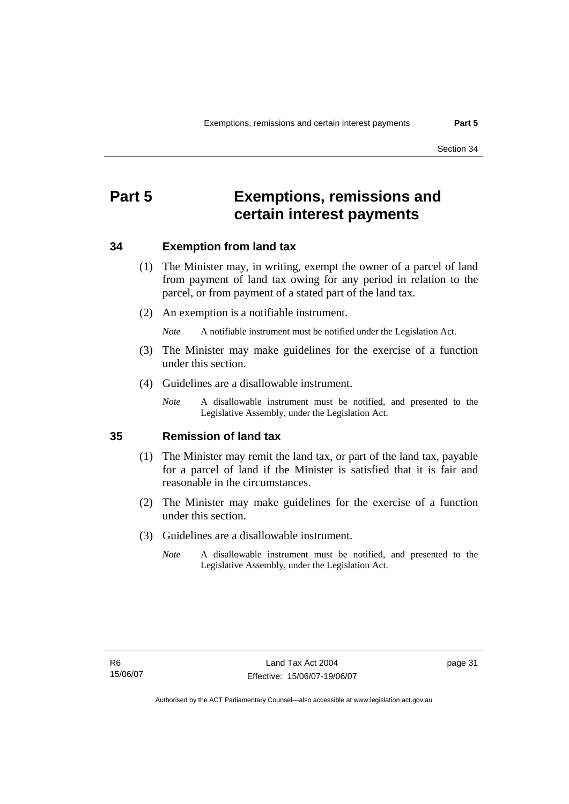## **Part 5 Exemptions, remissions and certain interest payments**

### **34 Exemption from land tax**

- (1) The Minister may, in writing, exempt the owner of a parcel of land from payment of land tax owing for any period in relation to the parcel, or from payment of a stated part of the land tax.
- (2) An exemption is a notifiable instrument.

*Note* A notifiable instrument must be notified under the Legislation Act.

- (3) The Minister may make guidelines for the exercise of a function under this section.
- (4) Guidelines are a disallowable instrument.
	- *Note* A disallowable instrument must be notified, and presented to the Legislative Assembly, under the Legislation Act.

### **35 Remission of land tax**

- (1) The Minister may remit the land tax, or part of the land tax, payable for a parcel of land if the Minister is satisfied that it is fair and reasonable in the circumstances.
- (2) The Minister may make guidelines for the exercise of a function under this section.
- (3) Guidelines are a disallowable instrument.
	- *Note* A disallowable instrument must be notified, and presented to the Legislative Assembly, under the Legislation Act.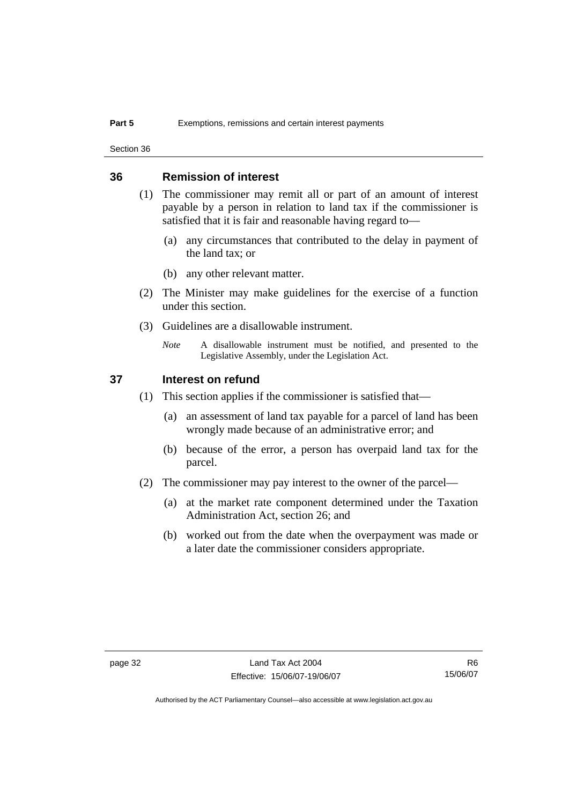Section 36

### **36 Remission of interest**

- (1) The commissioner may remit all or part of an amount of interest payable by a person in relation to land tax if the commissioner is satisfied that it is fair and reasonable having regard to—
	- (a) any circumstances that contributed to the delay in payment of the land tax; or
	- (b) any other relevant matter.
- (2) The Minister may make guidelines for the exercise of a function under this section.
- (3) Guidelines are a disallowable instrument.
	- *Note* A disallowable instrument must be notified, and presented to the Legislative Assembly, under the Legislation Act.

### **37 Interest on refund**

- (1) This section applies if the commissioner is satisfied that—
	- (a) an assessment of land tax payable for a parcel of land has been wrongly made because of an administrative error; and
	- (b) because of the error, a person has overpaid land tax for the parcel.
- (2) The commissioner may pay interest to the owner of the parcel—
	- (a) at the market rate component determined under the Taxation Administration Act, section 26; and
	- (b) worked out from the date when the overpayment was made or a later date the commissioner considers appropriate.

R6 15/06/07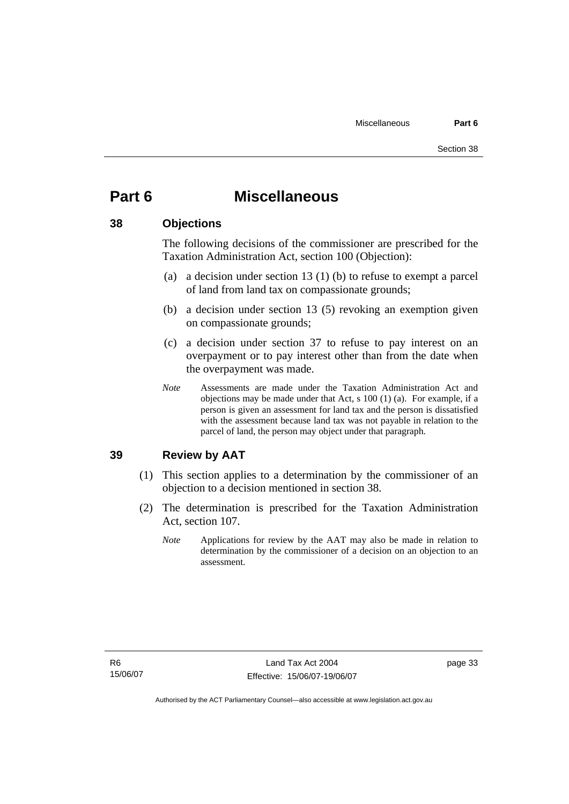## **Part 6 Miscellaneous**

### **38 Objections**

The following decisions of the commissioner are prescribed for the Taxation Administration Act, section 100 (Objection):

- (a) a decision under section 13 (1) (b) to refuse to exempt a parcel of land from land tax on compassionate grounds;
- (b) a decision under section 13 (5) revoking an exemption given on compassionate grounds;
- (c) a decision under section 37 to refuse to pay interest on an overpayment or to pay interest other than from the date when the overpayment was made.
- *Note* Assessments are made under the Taxation Administration Act and objections may be made under that Act, s 100 (1) (a). For example, if a person is given an assessment for land tax and the person is dissatisfied with the assessment because land tax was not payable in relation to the parcel of land, the person may object under that paragraph.

### **39 Review by AAT**

- (1) This section applies to a determination by the commissioner of an objection to a decision mentioned in section 38.
- (2) The determination is prescribed for the Taxation Administration Act, section 107.
	- *Note* Applications for review by the AAT may also be made in relation to determination by the commissioner of a decision on an objection to an assessment.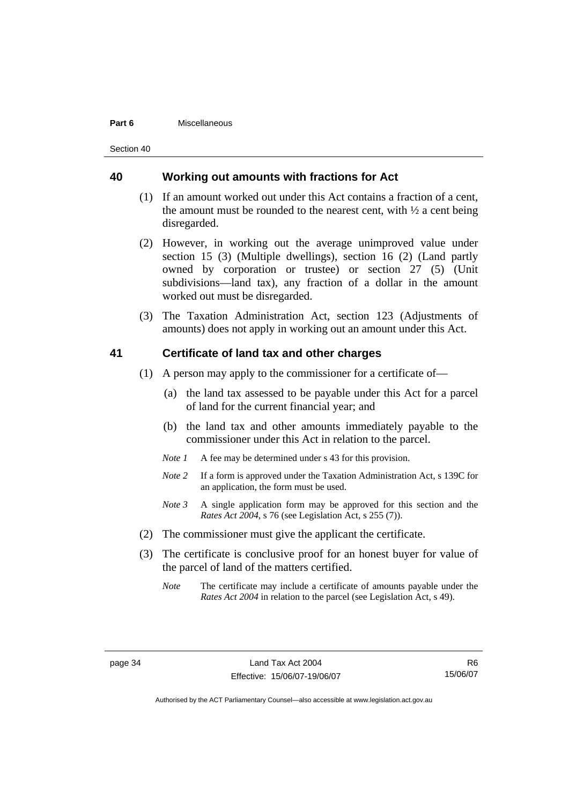#### **Part 6** Miscellaneous

Section 40

### **40 Working out amounts with fractions for Act**

- (1) If an amount worked out under this Act contains a fraction of a cent, the amount must be rounded to the nearest cent, with  $\frac{1}{2}$  a cent being disregarded.
- (2) However, in working out the average unimproved value under section 15 (3) (Multiple dwellings), section 16 (2) (Land partly owned by corporation or trustee) or section 27 (5) (Unit subdivisions—land tax), any fraction of a dollar in the amount worked out must be disregarded.
- (3) The Taxation Administration Act, section 123 (Adjustments of amounts) does not apply in working out an amount under this Act.

### **41 Certificate of land tax and other charges**

- (1) A person may apply to the commissioner for a certificate of—
	- (a) the land tax assessed to be payable under this Act for a parcel of land for the current financial year; and
	- (b) the land tax and other amounts immediately payable to the commissioner under this Act in relation to the parcel.
	- *Note 1* A fee may be determined under s 43 for this provision.
	- *Note 2* If a form is approved under the Taxation Administration Act, s 139C for an application, the form must be used.
	- *Note 3* A single application form may be approved for this section and the *Rates Act 2004*, s 76 (see Legislation Act, s 255 (7)).
- (2) The commissioner must give the applicant the certificate.
- (3) The certificate is conclusive proof for an honest buyer for value of the parcel of land of the matters certified.
	- *Note* The certificate may include a certificate of amounts payable under the *Rates Act 2004* in relation to the parcel (see Legislation Act, s 49).

R6 15/06/07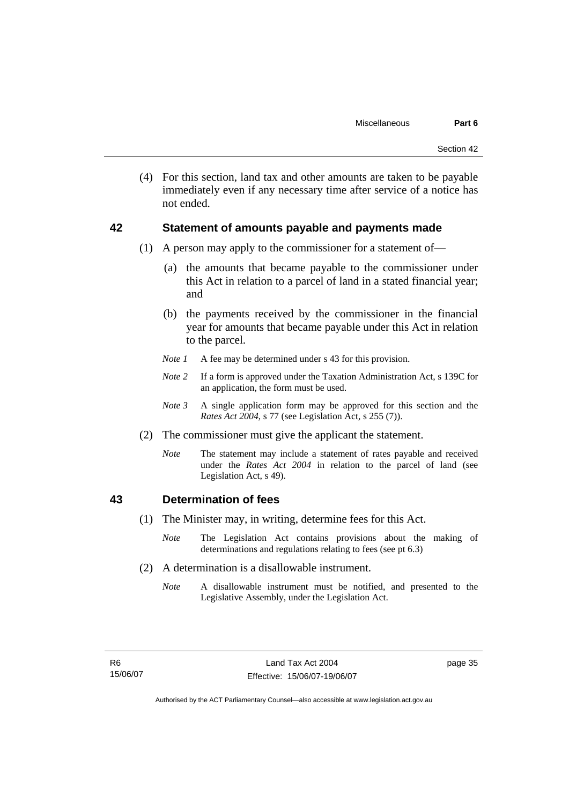(4) For this section, land tax and other amounts are taken to be payable immediately even if any necessary time after service of a notice has not ended.

### **42 Statement of amounts payable and payments made**

- (1) A person may apply to the commissioner for a statement of—
	- (a) the amounts that became payable to the commissioner under this Act in relation to a parcel of land in a stated financial year; and
	- (b) the payments received by the commissioner in the financial year for amounts that became payable under this Act in relation to the parcel.
	- *Note 1* A fee may be determined under s 43 for this provision.
	- *Note 2* If a form is approved under the Taxation Administration Act, s 139C for an application, the form must be used.
	- *Note 3* A single application form may be approved for this section and the *Rates Act 2004*, s 77 (see Legislation Act, s 255 (7)).
- (2) The commissioner must give the applicant the statement.
	- *Note* The statement may include a statement of rates payable and received under the *Rates Act 2004* in relation to the parcel of land (see Legislation Act, s 49).

### **43 Determination of fees**

- (1) The Minister may, in writing, determine fees for this Act.
	- *Note* The Legislation Act contains provisions about the making of determinations and regulations relating to fees (see pt 6.3)
- (2) A determination is a disallowable instrument.
	- *Note* A disallowable instrument must be notified, and presented to the Legislative Assembly, under the Legislation Act.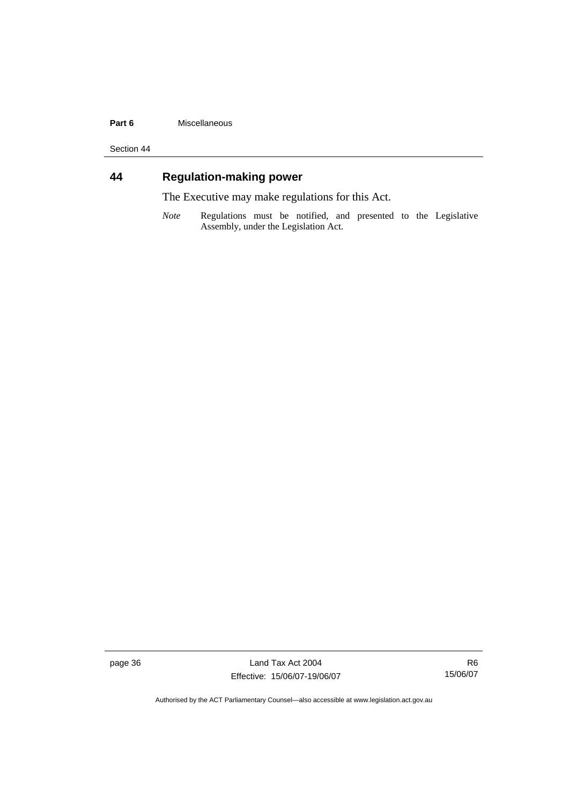#### **Part 6** Miscellaneous

Section 44

## **44 Regulation-making power**

The Executive may make regulations for this Act.

*Note* Regulations must be notified, and presented to the Legislative Assembly, under the Legislation Act.

page 36 Land Tax Act 2004 Effective: 15/06/07-19/06/07

R6 15/06/07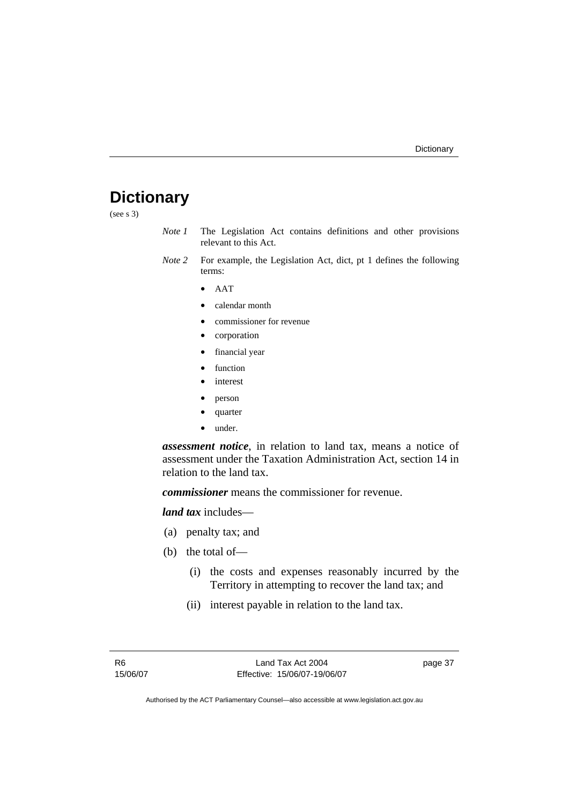## **Dictionary**

(see s 3)

- *Note 1* The Legislation Act contains definitions and other provisions relevant to this Act.
- *Note 2* For example, the Legislation Act, dict, pt 1 defines the following terms:
	- AAT
	- calendar month
	- commissioner for revenue
	- corporation
	- financial year
	- function
	- *interest*
	- person
	- quarter
	- under.

*assessment notice*, in relation to land tax, means a notice of assessment under the Taxation Administration Act, section 14 in relation to the land tax.

*commissioner* means the commissioner for revenue.

*land tax* includes—

- (a) penalty tax; and
- (b) the total of—
	- (i) the costs and expenses reasonably incurred by the Territory in attempting to recover the land tax; and
	- (ii) interest payable in relation to the land tax.

page 37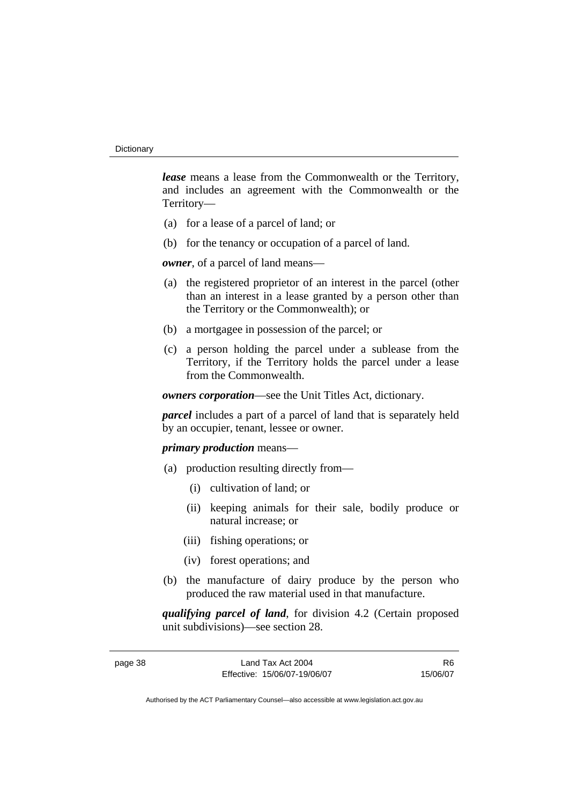*lease* means a lease from the Commonwealth or the Territory, and includes an agreement with the Commonwealth or the Territory—

- (a) for a lease of a parcel of land; or
- (b) for the tenancy or occupation of a parcel of land.

*owner*, of a parcel of land means—

- (a) the registered proprietor of an interest in the parcel (other than an interest in a lease granted by a person other than the Territory or the Commonwealth); or
- (b) a mortgagee in possession of the parcel; or
- (c) a person holding the parcel under a sublease from the Territory, if the Territory holds the parcel under a lease from the Commonwealth.

*owners corporation*—see the Unit Titles Act, dictionary.

*parcel* includes a part of a parcel of land that is separately held by an occupier, tenant, lessee or owner.

### *primary production* means—

- (a) production resulting directly from—
	- (i) cultivation of land; or
	- (ii) keeping animals for their sale, bodily produce or natural increase; or
	- (iii) fishing operations; or
	- (iv) forest operations; and
- (b) the manufacture of dairy produce by the person who produced the raw material used in that manufacture.

*qualifying parcel of land*, for division 4.2 (Certain proposed unit subdivisions)—see section 28.

| ener |  |
|------|--|
|------|--|

R6 15/06/07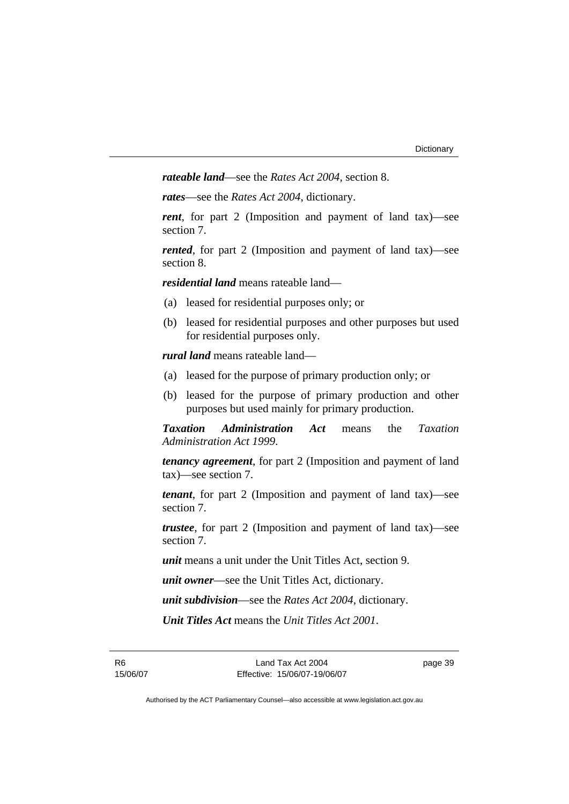*rateable land*—see the *Rates Act 2004*, section 8.

*rates*—see the *Rates Act 2004*, dictionary.

*rent*, for part 2 (Imposition and payment of land tax)—see section 7.

*rented*, for part 2 (Imposition and payment of land tax)—see section 8.

*residential land* means rateable land—

- (a) leased for residential purposes only; or
- (b) leased for residential purposes and other purposes but used for residential purposes only.

*rural land* means rateable land—

- (a) leased for the purpose of primary production only; or
- (b) leased for the purpose of primary production and other purposes but used mainly for primary production.

*Taxation Administration Act* means the *Taxation Administration Act 1999*.

*tenancy agreement*, for part 2 (Imposition and payment of land tax)—see section 7.

*tenant*, for part 2 (Imposition and payment of land tax)—see section 7.

*trustee*, for part 2 (Imposition and payment of land tax)—see section 7.

*unit* means a unit under the Unit Titles Act, section 9.

*unit owner*—see the Unit Titles Act, dictionary.

*unit subdivision*—see the *Rates Act 2004*, dictionary.

*Unit Titles Act* means the *Unit Titles Act 2001*.

page 39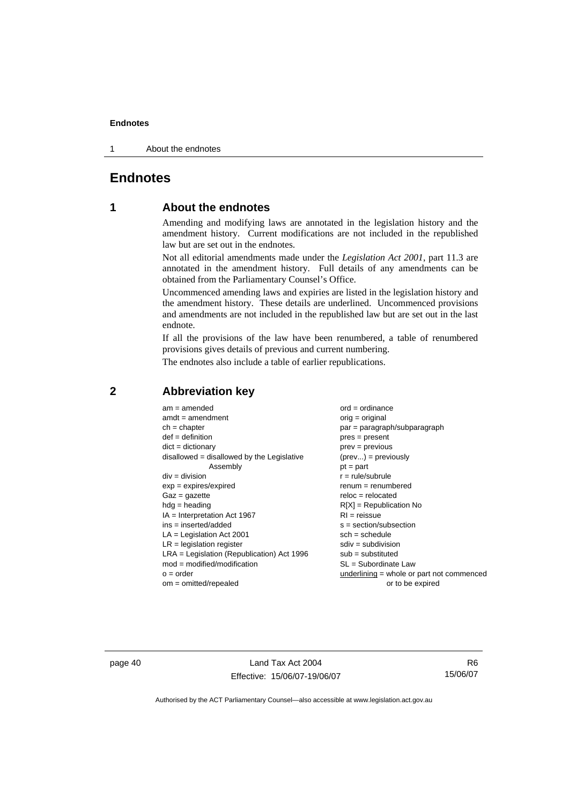1 About the endnotes

### **Endnotes**

### **1 About the endnotes**

Amending and modifying laws are annotated in the legislation history and the amendment history. Current modifications are not included in the republished law but are set out in the endnotes.

Not all editorial amendments made under the *Legislation Act 2001*, part 11.3 are annotated in the amendment history. Full details of any amendments can be obtained from the Parliamentary Counsel's Office.

Uncommenced amending laws and expiries are listed in the legislation history and the amendment history. These details are underlined. Uncommenced provisions and amendments are not included in the republished law but are set out in the last endnote.

If all the provisions of the law have been renumbered, a table of renumbered provisions gives details of previous and current numbering.

The endnotes also include a table of earlier republications.

| $am = amended$                               | $ord = ordinance$                         |
|----------------------------------------------|-------------------------------------------|
| $amdt = amendment$                           | $orig = original$                         |
| $ch = chapter$                               | par = paragraph/subparagraph              |
| $def = definition$                           | $pres = present$                          |
| $dict = dictionary$                          | $prev = previous$                         |
| disallowed = disallowed by the Legislative   | $(\text{prev}) = \text{previously}$       |
| Assembly                                     | $pt = part$                               |
| $div = division$                             | $r = rule/subrule$                        |
| $exp = expires/expired$                      | $remum = renumbered$                      |
| $Gaz = gazette$                              | $reloc = relocated$                       |
| $hdg =$ heading                              | $R[X]$ = Republication No                 |
| $IA = Interpretation Act 1967$               | $RI = reissue$                            |
| $ins = inserted/added$                       | $s = section/subsection$                  |
| $LA =$ Legislation Act 2001                  | $sch = schedule$                          |
| $LR =$ legislation register                  | $sdiv = subdivision$                      |
| $LRA =$ Legislation (Republication) Act 1996 | $sub = substituted$                       |
| $mod = modified/modification$                | $SL = Subordinate$ Law                    |
| $o = order$                                  | underlining = whole or part not commenced |
| $om = omitted/repealed$                      | or to be expired                          |
|                                              |                                           |

### **2 Abbreviation key**

page 40 Land Tax Act 2004 Effective: 15/06/07-19/06/07

R6 15/06/07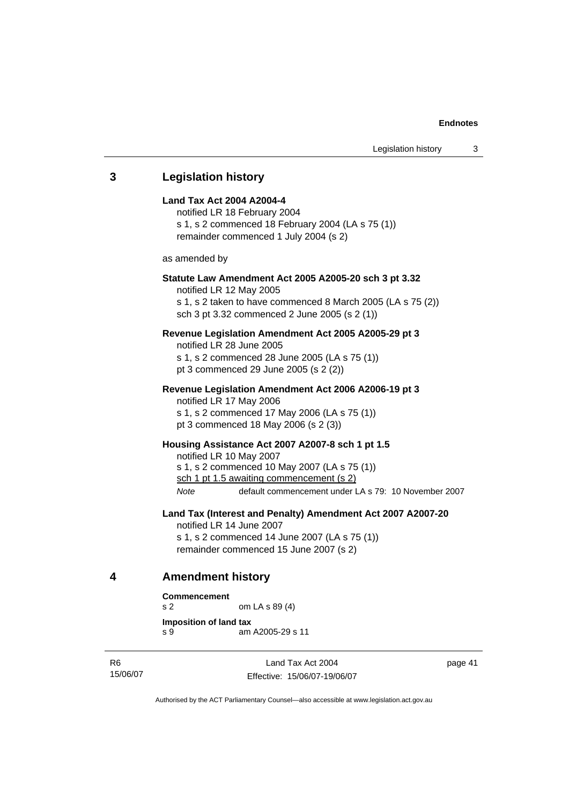## **3 Legislation history Land Tax Act 2004 A2004-4**  notified LR 18 February 2004 s 1, s 2 commenced 18 February 2004 (LA s 75 (1)) remainder commenced 1 July 2004 (s 2) as amended by **Statute Law Amendment Act 2005 A2005-20 sch 3 pt 3.32**  notified LR 12 May 2005 s 1, s 2 taken to have commenced 8 March 2005 (LA s 75 (2)) sch 3 pt 3.32 commenced 2 June 2005 (s 2 (1)) **Revenue Legislation Amendment Act 2005 A2005-29 pt 3**  notified LR 28 June 2005 s 1, s 2 commenced 28 June 2005 (LA s 75 (1)) pt 3 commenced 29 June 2005 (s 2 (2)) **Revenue Legislation Amendment Act 2006 A2006-19 pt 3**  notified LR 17 May 2006 s 1, s 2 commenced 17 May 2006 (LA s 75 (1)) pt 3 commenced 18 May 2006 (s 2 (3)) **Housing Assistance Act 2007 A2007-8 sch 1 pt 1.5**  notified LR 10 May 2007 s 1, s 2 commenced 10 May 2007 (LA s 75 (1)) sch 1 pt 1.5 awaiting commencement (s 2) *Note* default commencement under LA s 79: 10 November 2007 **Land Tax (Interest and Penalty) Amendment Act 2007 A2007-20**  notified LR 14 June 2007 s 1, s 2 commenced 14 June 2007 (LA s 75 (1)) remainder commenced 15 June 2007 (s 2) **4 Amendment history Commencement**

```
s 2 om LA s 89 (4)
Imposition of land tax 
s 9 am A2005-29 s 11
```
R6 15/06/07

Land Tax Act 2004 Effective: 15/06/07-19/06/07 page 41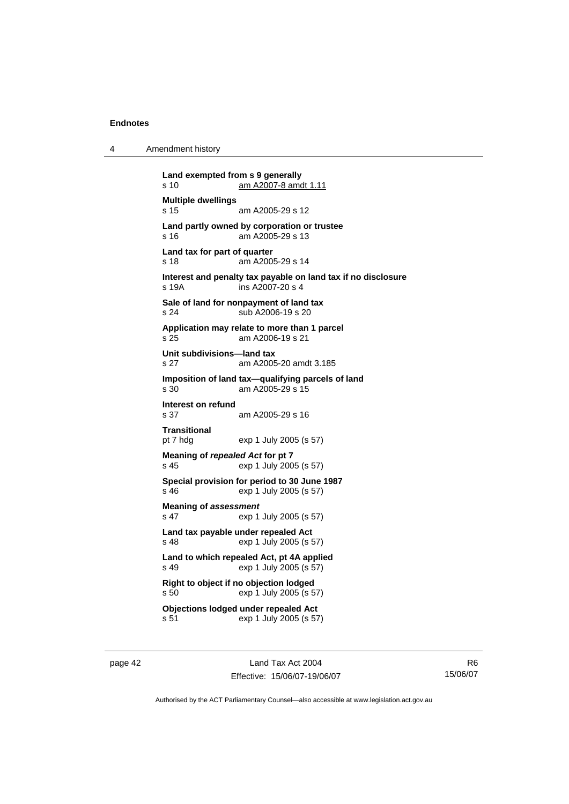4 Amendment history

**Land exempted from s 9 generally**  s 10 am A2007-8 amdt 1.11 **Multiple dwellings**  s 15 am A2005-29 s 12 **Land partly owned by corporation or trustee**  s 16 am A2005-29 s 13 **Land tax for part of quarter**  s 18 am A2005-29 s 14 **Interest and penalty tax payable on land tax if no disclosure**  s 19A ins A2007-20 s 4 **Sale of land for nonpayment of land tax**  s 24 sub A2006-19 s 20 **Application may relate to more than 1 parcel**  s 25 am A2006-19 s 21 **Unit subdivisions—land tax**  s 27 am A2005-20 amdt 3.185 **Imposition of land tax—qualifying parcels of land**  s 30 am A2005-29 s 15 **Interest on refund**  s 37 am A2005-29 s 16 **Transitional**  pt 7 hdg exp 1 July 2005 (s 57) **Meaning of** *repealed Act* **for pt 7**  s 45 exp 1 July 2005 (s 57) **Special provision for period to 30 June 1987**  s 46 exp 1 July 2005 (s 57) **Meaning of** *assessment* s 47 exp 1 July 2005 (s 57) **Land tax payable under repealed Act**  s 48 exp 1 July 2005 (s 57) **Land to which repealed Act, pt 4A applied**  s 49 exp 1 July 2005 (s 57) **Right to object if no objection lodged**  s 50 exp 1 July 2005 (s 57) **Objections lodged under repealed Act**  s 51 exp 1 July 2005 (s 57)

page 42 Land Tax Act 2004 Effective: 15/06/07-19/06/07

R6 15/06/07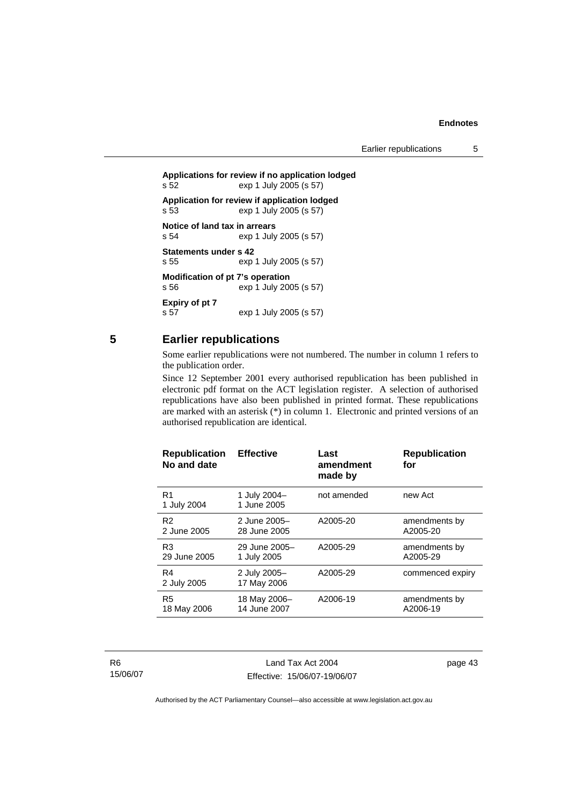Earlier republications 5

```
Applications for review if no application lodged 
s 52 exp 1 July 2005 (s 57) 
Application for review if application lodged 
s 53 exp 1 July 2005 (s 57) 
Notice of land tax in arrears<br>s 54 exp 1 July
                 exp 1 July 2005 (s 57)
Statements under s 42 
s 55 exp 1 July 2005 (s 57) 
Modification of pt 7's operation 
s 56 exp 1 July 2005 (s 57) 
Expiry of pt 7 
s 57 exp 1 July 2005 (s 57)
```
### **5 Earlier republications**

Some earlier republications were not numbered. The number in column 1 refers to the publication order.

Since 12 September 2001 every authorised republication has been published in electronic pdf format on the ACT legislation register. A selection of authorised republications have also been published in printed format. These republications are marked with an asterisk (\*) in column 1. Electronic and printed versions of an authorised republication are identical.

| <b>Republication</b><br>No and date | <b>Effective</b>            | Last<br>amendment<br>made by | <b>Republication</b><br>for |
|-------------------------------------|-----------------------------|------------------------------|-----------------------------|
| R <sub>1</sub><br>1 July 2004       | 1 July 2004-<br>1 June 2005 | not amended                  | new Act                     |
| R <sub>2</sub>                      | 2 June 2005-                | A2005-20                     | amendments by               |
| 2 June 2005                         | 28 June 2005                |                              | A2005-20                    |
| R <sub>3</sub>                      | 29 June 2005-               | A2005-29                     | amendments by               |
| 29 June 2005                        | 1 July 2005                 |                              | A2005-29                    |
| R4<br>2 July 2005                   | 2 July 2005-<br>17 May 2006 | A2005-29                     | commenced expiry            |
| R <sub>5</sub>                      | 18 May 2006-                | A2006-19                     | amendments by               |
| 18 May 2006                         | 14 June 2007                |                              | A2006-19                    |

R6 15/06/07

Land Tax Act 2004 Effective: 15/06/07-19/06/07 page 43